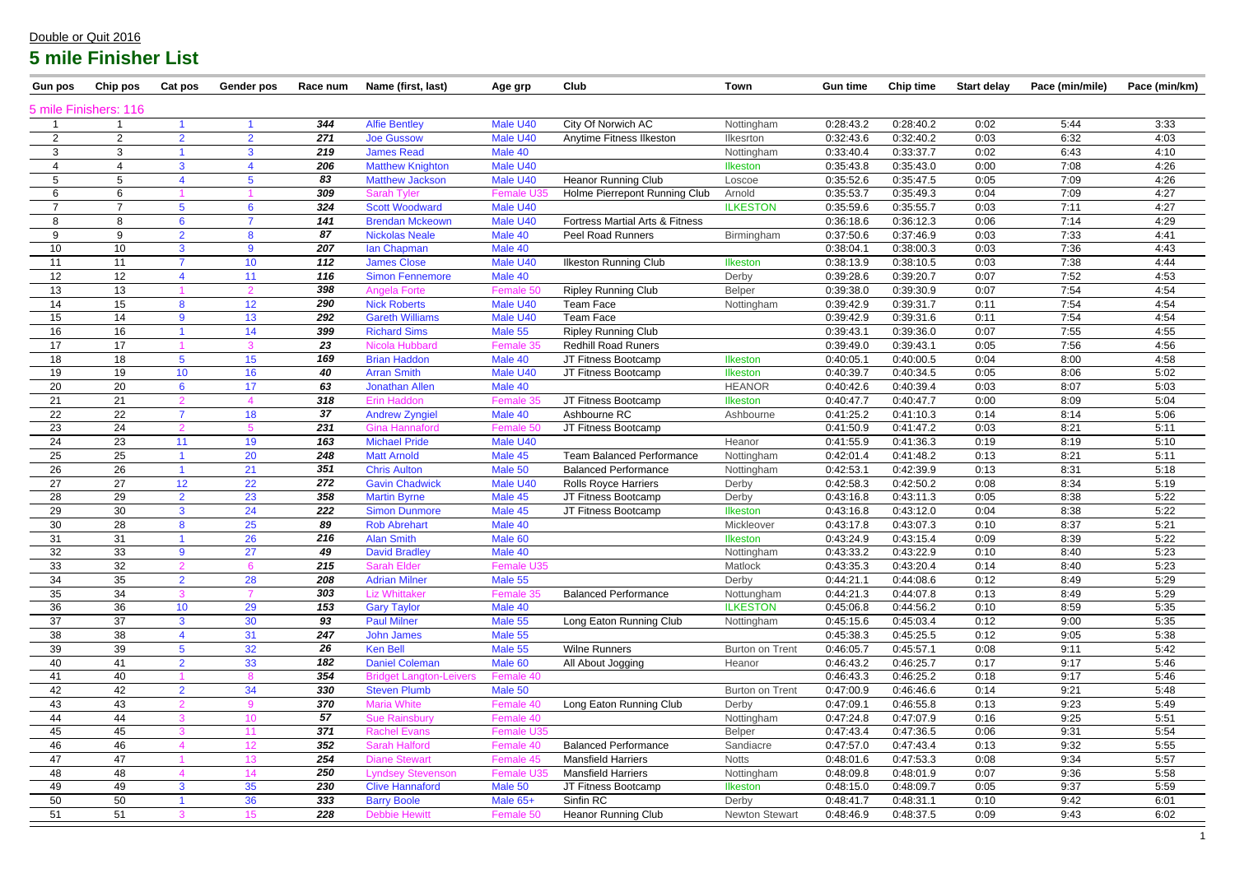| <b>Gun pos</b> | Chip pos              | Cat pos         | <b>Gender pos</b>        | Race num | Name (first, last)             | Age grp           | Club                             | Town                   | <b>Gun time</b> | <b>Chip time</b> | <b>Start delay</b> | Pace (min/mile) | Pace (min/km) |
|----------------|-----------------------|-----------------|--------------------------|----------|--------------------------------|-------------------|----------------------------------|------------------------|-----------------|------------------|--------------------|-----------------|---------------|
|                | 5 mile Finishers: 116 |                 |                          |          |                                |                   |                                  |                        |                 |                  |                    |                 |               |
|                |                       |                 |                          | 344      | <b>Alfie Bentley</b>           | Male U40          | City Of Norwich AC               | Nottingham             | 0:28:43.2       | 0:28:40.2        | 0:02               | 5:44            | 3:33          |
| $\overline{2}$ | $\overline{2}$        | $\overline{2}$  | $\overline{2}$           | 271      | <b>Joe Gussow</b>              | Male U40          | Anytime Fitness Ilkeston         | Ilkesrton              | 0:32:43.6       | 0:32:40.2        | 0:03               | 6:32            | 4:03          |
| 3              |                       |                 | 3                        | 219      | <b>James Read</b>              | Male 40           |                                  | Nottingham             | 0:33:40.4       | 0:33:37.7        | 0:02               | 6:43            | 4:10          |
|                |                       | 3               | $\boldsymbol{\varDelta}$ | 206      | <b>Matthew Knighton</b>        | Male U40          |                                  | Ilkeston               | 0:35:43.8       | 0:35:43.0        | 0:00               | 7:08            | 4:26          |
| 5              |                       |                 | 5                        | 83       | <b>Matthew Jackson</b>         | Male U40          | <b>Heanor Running Club</b>       | Loscoe                 | 0:35:52.6       | 0:35:47.5        | 0:05               | 7:09            | 4:26          |
| 6              |                       |                 |                          | 309      | <b>Sarah Tyler</b>             | <b>Female U3</b>  | Holme Pierrepont Running Club    | Arnold                 | 0:35:53.7       | 0:35:49.3        | 0:04               | 7:09            | 4:27          |
| 7              |                       | 5               | $6\phantom{1}6$          | 324      | <b>Scott Woodward</b>          | Male U40          |                                  | <b>ILKESTON</b>        | 0:35:59.6       | 0:35:55.7        | 0:03               | 7:11            | 4:27          |
| 8              | 8                     | 6               | $\overline{7}$           | 141      | <b>Brendan Mckeown</b>         | Male U40          | Fortress Martial Arts & Fitness  |                        | 0:36:18.6       | 0:36:12.3        | 0:06               | 7:14            | 4:29          |
| 9              | 9                     | $\overline{2}$  | 8                        | 87       | <b>Nickolas Neale</b>          | Male 40           | Peel Road Runners                | Birmingham             | 0:37:50.6       | 0:37:46.9        | 0:03               | 7:33            | 4:41          |
| 10             | 10                    | 3               | 9                        | 207      | lan Chapman                    | Male 40           |                                  |                        | 0:38:04.1       | 0:38:00.3        | 0:03               | 7:36            | 4:43          |
| 11             | 11                    |                 | 10 <sup>°</sup>          | 112      | <b>James Close</b>             | Male U40          | <b>Ilkeston Running Club</b>     | <b>Ilkeston</b>        | 0:38:13.9       | 0:38:10.5        | 0:03               | 7:38            | 4:44          |
| 12             | 12                    |                 | 11                       | 116      | <b>Simon Fennemore</b>         | Male 40           |                                  | Derby                  | 0:39:28.6       | 0:39:20.7        | 0:07               | 7:52            | 4:53          |
| 13             | 13                    |                 | 2                        | 398      | <b>Angela Forte</b>            | Female 50         | <b>Ripley Running Club</b>       | <b>Belper</b>          | 0:39:38.0       | 0:39:30.9        | 0:07               | 7:54            | 4:54          |
| 14             | 15                    | 8               | 12                       | 290      | <b>Nick Roberts</b>            | Male U40          | Team Face                        | Nottingham             | 0:39:42.9       | 0:39:31.7        | 0:11               | 7:54            | 4:54          |
| 15             | 14                    | 9               | 13                       | 292      | <b>Gareth Williams</b>         | Male U40          | <b>Team Face</b>                 |                        | 0:39:42.9       | 0:39:31.6        | 0:11               | 7:54            | 4:54          |
| 16             | 16                    |                 | 14                       | 399      | <b>Richard Sims</b>            | Male 55           | <b>Ripley Running Club</b>       |                        | 0:39:43.1       | 0:39:36.0        | 0:07               | 7:55            | 4:55          |
| 17             | 17                    |                 | $\mathbf{3}$             | 23       | Nicola Hubbard                 | Female 35         | <b>Redhill Road Runers</b>       |                        | 0:39:49.0       | 0:39:43.1        | 0:05               | 7:56            | 4:56          |
| 18             | 18                    | $5\phantom{.0}$ | 15                       | 169      | <b>Brian Haddon</b>            | Male 40           | JT Fitness Bootcamp              | Ilkeston               | 0:40:05.1       | 0:40:00.5        | 0:04               | 8:00            | 4:58          |
| 19             | 19                    | 10 <sup>°</sup> | 16                       | 40       | <b>Arran Smith</b>             | Male U40          | JT Fitness Bootcamp              | Ilkeston               | 0:40:39.7       | 0:40:34.5        | 0:05               | 8:06            | 5:02          |
| 20             | 20                    | $6\phantom{1}6$ | 17                       | 63       | <b>Jonathan Allen</b>          | Male 40           |                                  | <b>HEANOR</b>          | 0:40:42.6       | 0:40:39.4        | 0:03               | 8:07            | 5:03          |
| 21             | 21                    |                 |                          | 318      | <b>Erin Haddon</b>             | Female 35         | JT Fitness Bootcamp              | <b>Ilkeston</b>        | 0:40:47.7       | 0:40:47.7        | 0:00               | 8:09            | 5:04          |
| 22             | 22                    |                 | 18                       | 37       | <b>Andrew Zyngiel</b>          | Male 40           | Ashbourne RC                     | Ashbourne              | 0:41:25.2       | 0:41:10.3        | 0:14               | 8:14            | 5:06          |
| 23             | 24                    |                 |                          | 231      | <b>Gina Hannaford</b>          | Female 50         | JT Fitness Bootcamp              |                        | 0:41:50.9       | 0:41:47.2        | 0:03               | 8:21            | 5:11          |
| 24             | 23                    | 11              | 19                       | 163      | <b>Michael Pride</b>           | Male U40          |                                  | Heanor                 | 0:41:55.9       | 0:41:36.3        | 0:19               | 8:19            | 5:10          |
| 25             | 25                    |                 | 20                       | 248      | <b>Matt Arnold</b>             | Male 45           | <b>Team Balanced Performance</b> | Nottingham             | 0:42:01.4       | 0:41:48.2        | 0:13               | 8:21            | 5:11          |
| 26             | 26                    |                 | 21                       | 351      | <b>Chris Aulton</b>            | Male 50           | <b>Balanced Performance</b>      | Nottingham             | 0:42:53.1       | 0:42:39.9        | 0:13               | 8:31            | 5:18          |
| 27             | 27                    | 12              | 22                       | 272      | <b>Gavin Chadwick</b>          | Male U40          | <b>Rolls Royce Harriers</b>      | Derby                  | 0:42:58.3       | 0:42:50.2        | 0:08               | 8:34            | 5:19          |
| 28             | 29                    | $\overline{2}$  | 23                       | 358      | <b>Martin Byrne</b>            | Male 45           | JT Fitness Bootcamp              | Derby                  | 0:43:16.8       | 0:43:11.3        | 0:05               | 8:38            | 5:22          |
| 29             | 30                    | 3               | 24                       | 222      | <b>Simon Dunmore</b>           | Male 45           | JT Fitness Bootcamp              | <b>Ilkeston</b>        | 0:43:16.8       | 0:43:12.0        | 0:04               | 8:38            | 5:22          |
| 30             | 28                    | 8               | 25                       | 89       | <b>Rob Abrehart</b>            | Male 40           |                                  | Mickleover             | 0:43:17.8       | 0:43:07.3        | 0:10               | 8:37            | 5:21          |
| 31             | 31                    |                 | 26                       | 216      | <b>Alan Smith</b>              | Male 60           |                                  | <b>Ilkeston</b>        | 0:43:24.9       | 0:43:15.4        | 0:09               | 8:39            | 5:22          |
| 32             | 33                    | 9               | 27                       | 49       | <b>David Bradley</b>           | Male 40           |                                  | Nottingham             | 0:43:33.2       | 0:43:22.9        | 0:10               | 8:40            | 5:23          |
| 33             | 32                    | $\mathcal{D}$   | 6                        | 215      | <b>Sarah Elder</b>             | Female U35        |                                  | Matlock                | 0:43:35.3       | 0:43:20.4        | 0:14               | 8:40            | 5:23          |
| 34             | 35                    | $\overline{2}$  | 28                       | 208      | <b>Adrian Milner</b>           | Male 55           |                                  | Derby                  | 0:44:21.1       | 0:44:08.6        | 0:12               | 8:49            | 5:29          |
| 35             | 34                    | 3               |                          | 303      | <b>Liz Whittaker</b>           | Female 35         | <b>Balanced Performance</b>      | Nottungham             | 0:44:21.3       | 0:44:07.8        | 0:13               | 8:49            | 5:29          |
| 36             | 36                    | 10              | 29                       | 153      | <b>Gary Taylor</b>             | Male 40           |                                  | <b>ILKESTON</b>        | 0:45:06.8       | 0:44:56.2        | 0:10               | 8:59            | 5:35          |
| 37             | 37                    | 3               | 30                       | 93       | <b>Paul Milner</b>             | Male 55           | Long Eaton Running Club          | Nottingham             | 0:45:15.6       | 0:45:03.4        | 0:12               | 9:00            | 5:35          |
| 38             | 38                    |                 | 31                       | 247      | <b>John James</b>              | Male 55           |                                  |                        | 0:45:38.3       | 0:45:25.5        | 0:12               | 9:05            | 5:38          |
| 39             | 39                    | 5               | 32                       | 26       | <b>Ken Bell</b>                | Male 55           | <b>Wilne Runners</b>             | <b>Burton on Trent</b> | 0:46:05.7       | 0:45:57.1        | 0:08               | 9:11            | 5:42          |
| 40             | 41                    | $\overline{2}$  | 33                       | 182      | <b>Daniel Coleman</b>          | Male 60           | All About Jogging                | Heanor                 | 0:46:43.2       | 0:46:25.7        | 0:17               | 9:17            | 5:46          |
| 41             | 40                    |                 | 8                        | 354      | <b>Bridget Langton-Leivers</b> | Female 40         |                                  |                        | 0:46:43.3       | 0:46:25.2        | 0:18               | 9:17            | 5:46          |
| 42             | 42                    | 2 <sup>1</sup>  | 34                       | 330      | <b>Steven Plumb</b>            | Male 50           |                                  | <b>Burton on Trent</b> | 0:47:00.9       | 0:46:46.6        | 0:14               | 9:21            | 5:48          |
| 43             | 43                    | $\Omega$        | 9                        | 370      | <b>Maria White</b>             | Female 40         | Long Eaton Running Club          | Derby                  | 0:47:09.1       | 0:46:55.8        | 0:13               | 9:23            | 5:49          |
| 44             | 44                    |                 | 10 <sup>°</sup>          | 57       | <b>Sue Rainsbury</b>           | Female 40         |                                  | Nottingham             | 0:47:24.8       | 0:47:07.9        | 0:16               | 9:25            | 5:51          |
| 45             | 45                    | 3               | 11                       | 371      | <b>Rachel Evans</b>            | Female U35        |                                  | Belper                 | 0:47:43.4       | 0:47:36.5        | 0:06               | 9:31            | 5:54          |
| 46             | 46                    |                 | 12 <sub>2</sub>          | 352      | <b>Sarah Halford</b>           | Female 40         | <b>Balanced Performance</b>      | Sandiacre              | 0:47:57.0       | 0:47:43.4        | 0:13               | 9:32            | 5:55          |
| 47             | 47                    |                 | 13 <sup>°</sup>          | 254      | <b>Diane Stewart</b>           | Female 45         | <b>Mansfield Harriers</b>        | <b>Notts</b>           | 0:48:01.6       | 0:47:53.3        | 0:08               | 9:34            | 5:57          |
| 48             | 48                    |                 | 14                       | 250      | <b>Lyndsey Stevenson</b>       | <b>Female U35</b> | <b>Mansfield Harriers</b>        | Nottingham             | 0:48:09.8       | 0:48:01.9        | 0:07               | 9:36            | 5:58          |
| 49             | 49                    | $\mathbf{3}$    | 35                       | 230      | <b>Clive Hannaford</b>         | Male 50           | JT Fitness Bootcamp              | <b>Ilkeston</b>        | 0:48:15.0       | 0:48:09.7        | 0:05               | 9:37            | 5:59          |
| 50             | 50                    |                 | 36                       | 333      | <b>Barry Boole</b>             | Male 65+          | Sinfin RC                        | Derby                  | 0:48:41.7       | 0:48:31.1        | 0:10               | 9:42            | 6:01          |
| 51             | 51                    | 3               | 15 <sub>1</sub>          | 228      | <b>Debbie Hewitt</b>           | Female 50         | <b>Heanor Running Club</b>       | <b>Newton Stewart</b>  | 0:48:46.9       | 0:48:37.5        | 0:09               | 9:43            | 6:02          |

#### Double or Quit 2016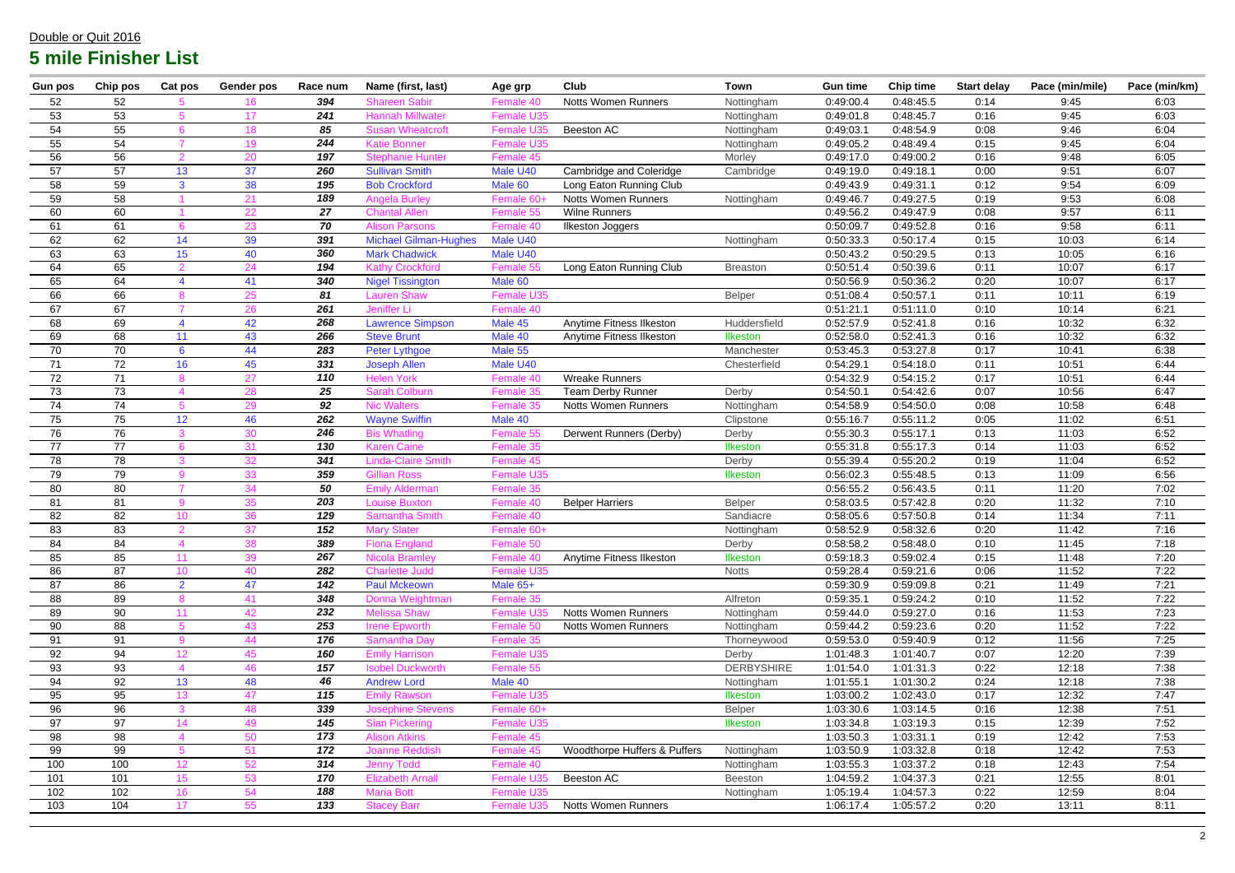| <b>Gun pos</b> | Chip pos | Cat pos                  | <b>Gender pos</b> | Race num   | Name (first, last)                            | Age grp                  | Club                         | <b>Town</b>       | <b>Gun time</b>        | <b>Chip time</b>       | <b>Start delay</b> | Pace (min/mile) | Pace (min/km) |
|----------------|----------|--------------------------|-------------------|------------|-----------------------------------------------|--------------------------|------------------------------|-------------------|------------------------|------------------------|--------------------|-----------------|---------------|
| 52             | 52       |                          | 16                | 394        | <b>Shareen Sabir</b>                          | Female 40                | <b>Notts Women Runners</b>   | Nottingham        | 0:49:00.4              | 0:48:45.5              | 0:14               | 9:45            | 6:03          |
| 53             | 53       |                          | 17                | 241        | <b>Hannah Millwater</b>                       | <b>Female U35</b>        |                              | Nottingham        | 0:49:01.8              | 0:48:45.7              | 0:16               | 9:45            | 6:03          |
| 54             | 55       | 6                        | 18                | 85         | <b>Susan Wheatcroft</b>                       | <b>Female U35</b>        | Beeston AC                   | Nottingham        | 0:49:03.1              | 0:48:54.9              | 0:08               | 9:46            | 6:04          |
| 55             | 54       |                          | 19                | 244        | <b>Katie Bonner</b>                           | Female U35               |                              | Nottingham        | 0:49:05.2              | 0:48:49.4              | 0:15               | 9:45            | 6:04          |
| 56             | 56       |                          | 20                | 197        | <b>Stephanie Hunter</b>                       | Female 45                |                              | Morley            | 0:49:17.0              | 0:49:00.2              | 0:16               | 9:48            | 6:05          |
| 57             | 57       | 13                       | 37                | 260        | <b>Sullivan Smith</b>                         | Male U40                 | Cambridge and Coleridge      | Cambridge         | 0:49:19.0              | 0:49:18.1              | 0:00               | 9:51            | 6:07          |
| 58             | 59       | 3                        | 38                | 195        | <b>Bob Crockford</b>                          | Male 60                  | Long Eaton Running Club      |                   | 0:49:43.9              | 0:49:31.1              | 0:12               | 9:54            | 6:09          |
| 59             | 58       |                          | 21                | 189        | <b>Angela Burley</b>                          | Female 60+               | <b>Notts Women Runners</b>   | Nottingham        | 0:49:46.7              | 0:49:27.5              | 0:19               | 9:53            | 6:08          |
| 60             | 60       |                          | 22                | 27         | <b>Chantal Allen</b>                          | Female 55                | <b>Wilne Runners</b>         |                   | 0:49:56.2              | 0:49:47.9              | 0:08               | 9:57            | 6:11          |
| 61             | 61       | 6                        | 23                | 70         | <b>Alison Parsons</b>                         | Female 40                | <b>Ilkeston Joggers</b>      |                   | 0:50:09.7              | 0:49:52.8              | 0:16               | 9:58            | 6:11          |
| 62             | 62       | 14                       | 39                | 391        | <b>Michael Gilman-Hughes</b>                  | Male U40                 |                              | Nottingham        | 0:50:33.3              | 0:50:17.4              | 0:15               | 10:03           | 6:14          |
| 63             | 63       | 15                       | 40                | 360        | <b>Mark Chadwick</b>                          | Male U40                 |                              |                   | 0:50:43.2              | 0:50:29.5              | 0:13               | 10:05           | 6:16          |
| 64             | 65       |                          | 24                | 194        | <b>Kathy Crockford</b>                        | Female 55                | Long Eaton Running Club      | <b>Breaston</b>   | 0:50:51.4              | 0:50:39.6              | 0:11               | 10:07           | 6:17          |
| 65             | 64       |                          | 41                | 340        | <b>Nigel Tissington</b>                       | Male 60                  |                              |                   | 0:50:56.9              | 0:50:36.2              | 0:20               | 10:07           | 6:17          |
| 66             | 66       |                          | 25                | 81         | <b>Lauren Shaw</b>                            | Female U35               |                              | Belper            | 0:51:08.4              | 0:50:57.1              | 0:11               | 10:11           | 6:19          |
| 67             | 67       |                          | 26                | 261        | Jeniffer Li                                   | Female 40                |                              |                   | 0:51:21.1              | 0:51:11.0              | 0:10               | 10:14           | 6:21          |
| 68             | 69       | $\boldsymbol{\varDelta}$ | 42                | 268        | <b>Lawrence Simpson</b>                       | Male 45                  | Anytime Fitness Ilkeston     | Huddersfield      | 0:52:57.9              | 0:52:41.8              | 0:16               | 10:32           | 6:32          |
| 69             | 68       | 11                       | 43                | 266        | <b>Steve Brunt</b>                            | Male 40                  | Anytime Fitness Ilkeston     | <b>Ilkeston</b>   | 0:52:58.0              | 0:52:41.3              | 0:16               | 10:32           | 6:32          |
| 70             | 70       | 6                        | 44                | 283        | Peter Lythgoe                                 | Male 55                  |                              | Manchester        | 0:53:45.3              | 0:53:27.8              | 0:17               | 10:41           | 6:38          |
| 71             | 72       | 16                       | 45                | 331        | <b>Joseph Allen</b>                           | Male U40                 |                              | Chesterfield      | 0:54:29.1              | 0:54:18.0              | 0:11               | 10:51           | 6:44          |
| 72             | 71       | 8                        | 27                | 110        | <b>Helen York</b>                             | Female 40                | <b>Wreake Runners</b>        |                   | 0:54:32.9              | 0:54:15.2              | 0:17               | 10:51           | 6:44          |
| 73             | 73       |                          | 28                | 25         | <b>Sarah Colburn</b>                          | Female 35                | <b>Team Derby Runner</b>     | Derby             | 0:54:50.1              | 0:54:42.6              | 0:07               | 10:56           | 6:47          |
| 74             | 74       |                          | 29                | 92         | <b>Nic Walters</b>                            | Female 35                | <b>Notts Women Runners</b>   | Nottingham        | 0:54:58.9              | 0:54:50.0              | 0:08               | 10:58           | 6:48          |
| 75             | 75       | 12                       | 46                | 262        | <b>Wayne Swiffin</b>                          | Male 40                  |                              | Clipstone         | 0:55:16.7              | 0:55:11.2              | 0:05               | 11:02           | 6:51          |
| 76             | 76       | 3                        | 30                | 246        | <b>Bis Whatling</b>                           | Female 55                | Derwent Runners (Derby)      | Derby             | 0:55:30.3              | 0:55:17.1              | 0:13               | 11:03           | 6:52          |
| 77             | 77       | 6                        | 31                | 130        | <b>Karen Caine</b>                            | Female 35                |                              | <b>Ilkeston</b>   | 0:55:31.8              | 0:55:17.3              | 0:14               | 11:03           | 6:52          |
| 78             | 78       |                          | 32                | 341        | <b>Linda-Claire Smith</b>                     | Female 45                |                              | Derby             | 0:55:39.4              | 0:55:20.2              | 0:19               | 11:04           | 6:52          |
| 79             | 79       | $\alpha$                 | 33                | 359        | <b>Gillian Ross</b>                           | Female U35               |                              | <b>Ilkeston</b>   | 0:56:02.3              | 0:55:48.5              | 0:13               | 11:09           | 6:56          |
| 80             | 80       |                          | 34                | 50         | <b>Emily Alderman</b>                         | Female 35                |                              |                   | 0:56:55.2              | 0:56:43.5              | 0:11               | 11:20           | 7:02          |
| 81             | 81       | 9                        | 35                | 203        | <b>Louise Buxton</b>                          | Female 40                | <b>Belper Harriers</b>       | <b>Belper</b>     | 0:58:03.5              | 0:57:42.8              | 0:20               | 11:32           | 7:10          |
| 82             | 82       | 10 <sup>°</sup>          | 36                | 129        | <b>Samantha Smith</b>                         | Female 40                |                              | Sandiacre         | 0:58:05.6              | 0:57:50.8              | 0:14               | 11:34           | 7:11          |
| 83             | 83       | $\overline{2}$           | 37                | 152<br>389 | <b>Mary Slater</b>                            | Female 60+               |                              | Nottingham        | 0:58:52.9              | 0:58:32.6              | 0:20               | 11:42           | 7:16          |
| 84             | 84<br>85 |                          | 38                | 267        | <b>Fiona England</b><br><b>Nicola Bramley</b> | Female 50                | Anytime Fitness Ilkeston     | Derby             | 0:58:58.2              | 0.58:48.0              | 0:10               | 11:45<br>11:48  | 7:18<br>7:20  |
| 85             | 87       | 10 <sup>°</sup>          | 39                | 282        | <b>Charlette Judd</b>                         | Female 40                |                              | Ilkeston          | 0:59:18.3              | 0:59:02.4              | 0:15<br>0:06       |                 |               |
| 86<br>87       | 86       | $\overline{2}$           | 40<br>47          | 142        | <b>Paul Mckeown</b>                           | Female U35<br>Male $65+$ |                              | <b>Notts</b>      | 0:59:28.4<br>0:59:30.9 | 0:59:21.6<br>0:59:09.8 | 0:21               | 11:52<br>11:49  | 7:22<br>7:21  |
| 88             | 89       | 8                        | 41                | 348        | Donna Weightman                               | Female 35                |                              | Alfreton          | 0:59:35.1              | 0:59:24.2              | 0:10               | 11:52           | 7:22          |
| 89             | 90       |                          | 42                | 232        | <b>Melissa Shaw</b>                           | Female U35               | <b>Notts Women Runners</b>   | Nottingham        | 0:59:44.0              | 0:59:27.0              | 0:16               | 11:53           | 7:23          |
| 90             | 88       | $5^{\circ}$              | 43                | 253        | <b>Irene Epworth</b>                          | Female 50                | <b>Notts Women Runners</b>   | Nottingham        | 0:59:44.2              | 0:59:23.6              | 0:20               | 11:52           | 7:22          |
| 91             | 91       | 9                        | 44                | 176        | Samantha Day                                  | Female 35                |                              | Thorneywood       | 0:59:53.0              | 0:59:40.9              | 0:12               | 11:56           | 7:25          |
| 92             | 94       | 12                       | 45                | 160        | <b>Emily Harrison</b>                         | Female U35               |                              | Derby             | 1:01:48.3              | 1:01:40.7              | 0:07               | 12:20           | 7:39          |
| 93             | 93       |                          | 46                | 157        | <b>Isobel Duckworth</b>                       | Female 55                |                              | <b>DERBYSHIRE</b> | 1:01:54.0              | 1:01:31.3              | 0:22               | 12:18           | 7:38          |
| 94             | 92       | 13                       | 48                | 46         | <b>Andrew Lord</b>                            | Male 40                  |                              | Nottingham        | 1:01:55.1              | 1:01:30.2              | 0:24               | 12:18           | 7:38          |
| 95             | 95       | 13                       | 47                | 115        | <b>Emily Rawson</b>                           | Female U35               |                              | <b>Ilkeston</b>   | 1:03:00.2              | 1:02:43.0              | 0:17               | 12:32           | 7:47          |
| 96             | 96       | $\mathbf{R}$             | 48                | 339        | <b>Josephine Stevens</b>                      | Female 60+               |                              | Belper            | 1:03:30.6              | 1:03:14.5              | 0:16               | 12:38           | 7:51          |
| 97             | 97       | 14                       | 49                | 145        | <b>Sian Pickering</b>                         | Female U35               |                              | Ilkeston          | 1:03:34.8              | 1:03:19.3              | 0:15               | 12:39           | 7:52          |
| 98             | 98       |                          | 50                | 173        | <b>Alison Atkins</b>                          | Female 45                |                              |                   | 1:03:50.3              | 1:03:31.1              | 0:19               | 12:42           | 7:53          |
| 99             | 99       |                          | 51                | 172        | <b>Joanne Reddish</b>                         | Female 45                | Woodthorpe Huffers & Puffers | Nottingham        | 1:03:50.9              | 1:03:32.8              | 0:18               | 12:42           | 7:53          |
| 100            | 100      | 12 <sup>2</sup>          | 52                | 314        | <b>Jenny Todd</b>                             | Female 40                |                              | Nottingham        | 1:03:55.3              | 1:03:37.2              | 0:18               | 12:43           | 7:54          |
| 101            | 101      | 15                       | 53                | 170        | <b>Elizabeth Arnall</b>                       | Female U35               | Beeston AC                   | Beeston           | 1:04:59.2              | 1:04:37.3              | 0:21               | 12:55           | 8:01          |
| 102            | 102      | 16                       | 54                | 188        | <b>Maria Bott</b>                             | Female U35               |                              | Nottingham        | 1:05:19.4              | 1:04:57.3              | 0:22               | 12:59           | 8:04          |
| 103            | 104      | 17                       | 55                | 133        | <b>Stacey Barr</b>                            | Female U3                | <b>Notts Women Runners</b>   |                   | 1:06:17.4              | 1:05:57.2              | 0:20               | 13:11           | 8:11          |
|                |          |                          |                   |            |                                               |                          |                              |                   |                        |                        |                    |                 |               |

### Double or Quit 2016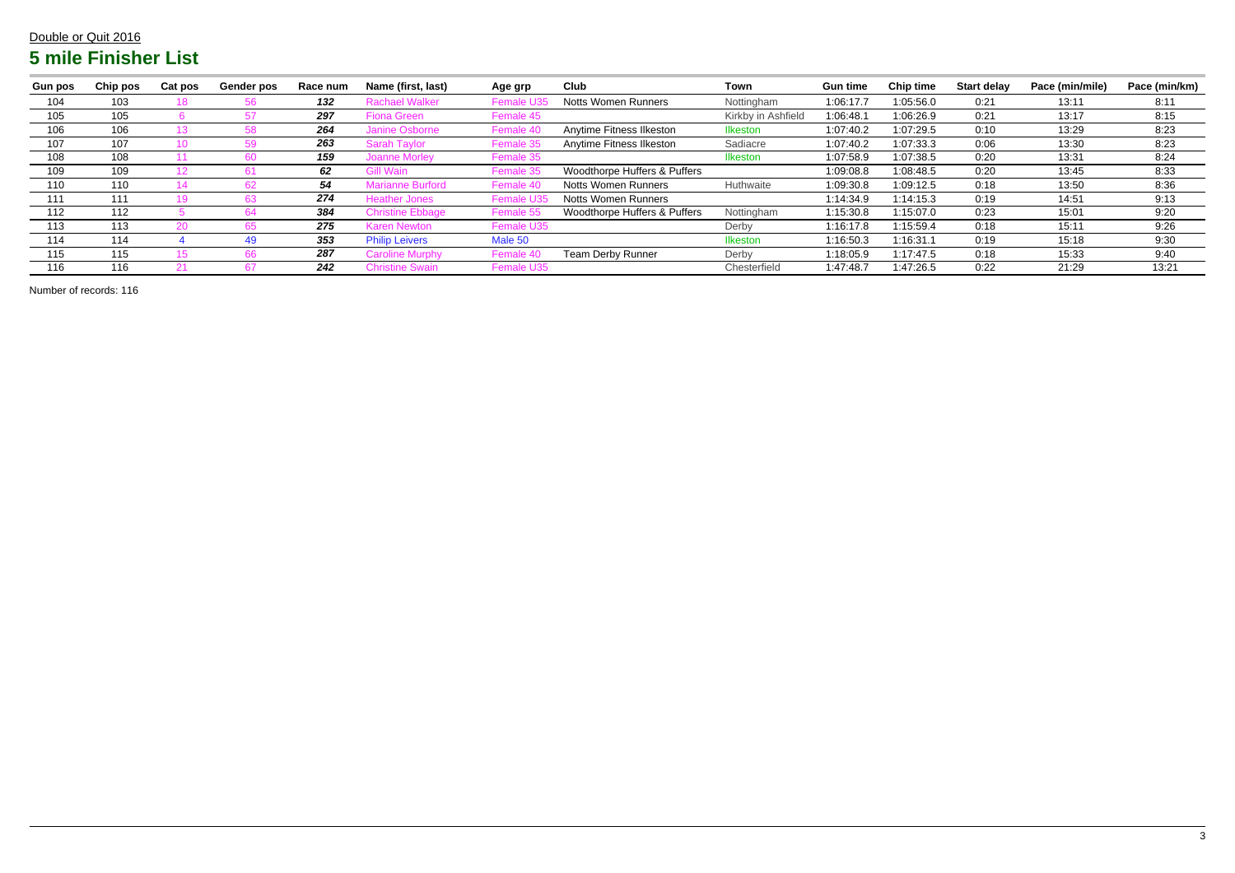| <b>Gun pos</b> | Chip pos | <b>Cat pos</b> | Gender pos | Race num | Name (first, last)           | Age grp    | Club                         | Town               | <b>Gun time</b> | <b>Chip time</b> | <b>Start delay</b> | Pace (min/mile) | Pace (min/km) |
|----------------|----------|----------------|------------|----------|------------------------------|------------|------------------------------|--------------------|-----------------|------------------|--------------------|-----------------|---------------|
| 104            | 103      |                |            | 132      | <b>Rachael Walker</b>        | Female     | <b>Notts Women Runners</b>   | Nottingham         | 1:06:17.7       | 1:05:56.0        | 0:21               | 13:11           | 8:11          |
| 105            | 105      |                |            | 297      | <b>Fiona Green</b>           | Female 45  |                              | Kirkby in Ashfield | 1:06:48.1       | 1:06:26.9        | 0:21               | 13:17           | 8:15          |
| 106            | 106      |                |            | 264      | Janine Osborne               | Female 4   | Anytime Fitness Ilkeston     | <b>Ilkeston</b>    | 1:07:40.2       | 1:07:29.5        | 0:10               | 13:29           | 8:23          |
| 107            | 107      |                | 59         | 263      | Sarah <sup>-</sup><br>Tavlor | Female 35  | Anytime Fitness Ilkeston     | Sadiacre           | 1:07:40.2       | 1:07:33.3        | 0:06               | 13:30           | 8:23          |
| 108            | 108      |                |            | 159      | <b>Joanne Morley</b>         | Female 35  |                              | <b>Ilkeston</b>    | 1:07:58.9       | 1:07:38.5        | 0:20               | 13:31           | 8:24          |
| 109            | 109      |                |            | 62       | Gill Wain                    | Female 3ł  | Woodthorpe Huffers & Puffers |                    | 1:09:08.8       | 1:08:48.5        | 0:20               | 13:45           | 8:33          |
| 110            | 110      |                |            | 54       | Aarianne Burford             | Female     | Notts Women Runners          | Huthwaite          | 1:09:30.8       | 1:09:12.5        | 0:18               | 13:50           | 8:36          |
| 111            | 111      |                |            | 274      | <b>Heather Jones</b>         | Female U3: | <b>Notts Women Runners</b>   |                    | 1:14:34.9       | 1:14:15.3        | 0:19               | 14:51           | 9:13          |
| 112            | 112      |                |            | 384      | <b>Christine Ebbage</b>      | Femal      | Woodthorpe Huffers & Puffers | Nottingham         | 1:15:30.8       | 1:15:07.0        | 0:23               | 15:01           | 9:20          |
| 113            | 113      |                |            | 275      | <b>Karen Newton</b>          | Female U35 |                              | Derby              | 1:16:17.8       | 1:15:59.4        | 0:18               | 15:11           | 9:26          |
| 114            | 114      |                | 49.        | 353      | <b>Philip Leivers</b>        | Male 50    |                              | Ilkeston           | 1:16:50.3       | 1:16:31.1        | 0:19               | 15:18           | 9:30          |
| 115            | 115      |                |            | 287      | Caroline Murphy              | Femal      | <b>Team Derby Runner</b>     | Derby              | 1:18:05.9       | 1:17:47.5        | 0:18               | 15:33           | 9:40          |
| 116            | 116      |                |            | 242      | <b>Christine Swain</b>       | Female U35 |                              | Chesterfield       | 1:47:48.7       | 1:47:26.5        | 0:22               | 21:29           | 13:21         |

Number of records: 116

#### Double or Quit 2016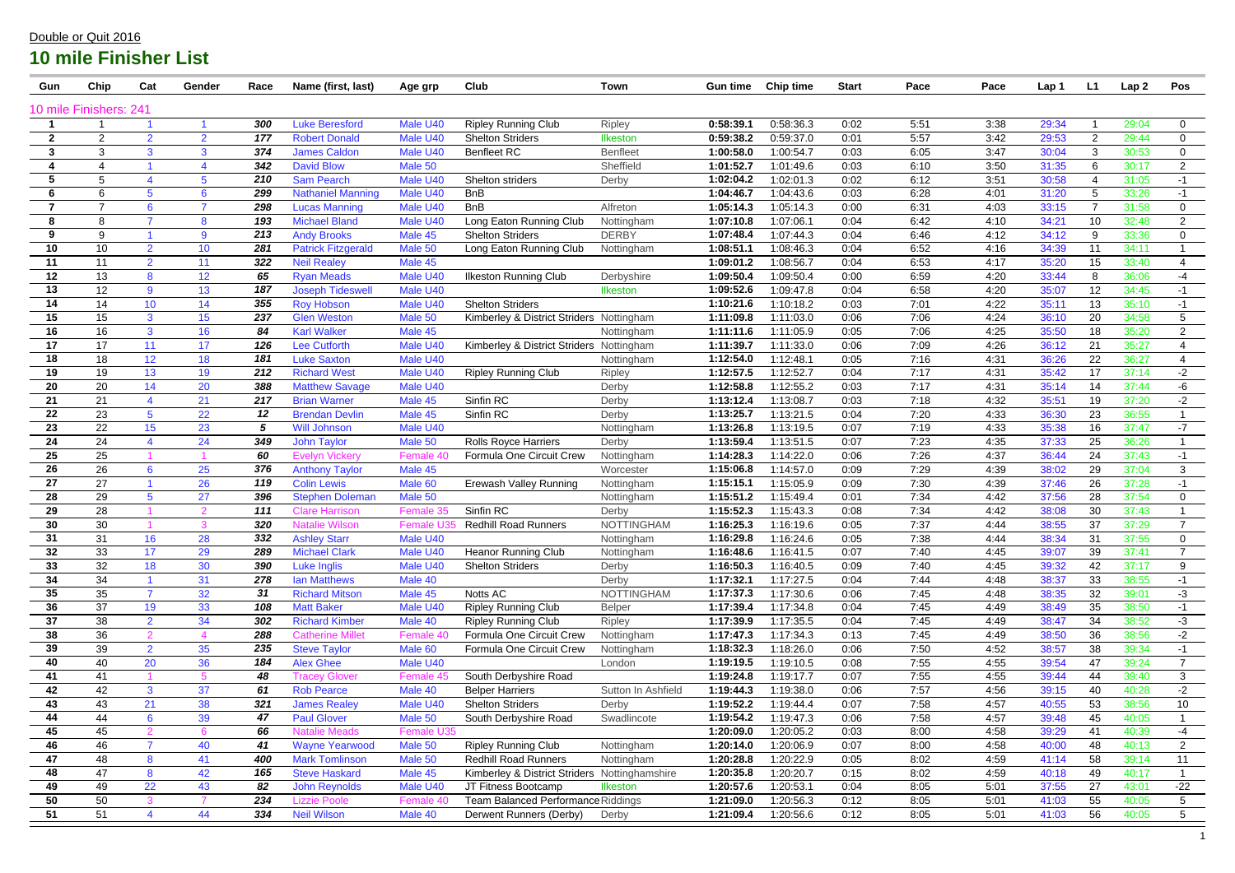| Gun                    | Chip            | Cat                                    | Gender          | Race       | Name (first, last)                               | Age grp              | Club                                                   | <b>Town</b>          | <b>Gun time</b>        | <b>Chip time</b>       | <b>Start</b> | Pace         | Pace         | Lap 1          | L1             | Lap <sub>2</sub> | Pos                  |
|------------------------|-----------------|----------------------------------------|-----------------|------------|--------------------------------------------------|----------------------|--------------------------------------------------------|----------------------|------------------------|------------------------|--------------|--------------|--------------|----------------|----------------|------------------|----------------------|
| 10 mile Finishers: 241 |                 |                                        |                 |            |                                                  |                      |                                                        |                      |                        |                        |              |              |              |                |                |                  |                      |
|                        |                 |                                        |                 | 300        | <b>Luke Beresford</b>                            | Male U40             | <b>Ripley Running Club</b>                             | Ripley               | 0:58:39.7              | 0:58:36.3              | 0:02         | 5:51         | 3:38         | 29:34          |                | 29:04            | $\mathbf 0$          |
| $\mathbf{2}$           | $\overline{2}$  | $\overline{2}$                         | $\overline{2}$  | 177        | <b>Robert Donald</b>                             | Male U40             | <b>Shelton Striders</b>                                | Ilkeston             | 0:59:38.2              | 0:59:37.0              | 0:01         | 5:57         | 3:42         | 29:53          | $\overline{2}$ | 29:44            | $\mathbf 0$          |
| 3                      | 3               | 3                                      | 3               | 374        | <b>James Caldon</b>                              | Male U40             | <b>Benfleet RC</b>                                     | <b>Benfleet</b>      | 1:00:58.0              | 1:00:54.7              | 0:03         | 6:05         | 3:47         | 30:04          | 3              | 30:53            | $\overline{0}$       |
| 4                      | 4               |                                        | 4               | 342        | <b>David Blow</b>                                | Male 50              |                                                        | Sheffield            | 1:01:52.7              | 1:01:49.6              | 0:03         | 6:10         | 3:50         | 31:35          | -6             | 30:17            | $\overline{2}$       |
| 5                      | 5               |                                        | 5               | 210        | <b>Sam Pearch</b>                                | Male U40             | Shelton striders                                       | Derby                | 1:02:04.2              | 1:02:01.3              | 0:02         | 6:12         | 3:51         | 30:58          |                | 31:05            | $-1$                 |
| 6                      | 6               |                                        | 6               | 299        | <b>Nathaniel Manning</b>                         | Male U40             | <b>BnB</b>                                             |                      | 1:04:46.7              | 1:04:43.6              | 0:03         | 6:28         | 4:01         | 31:20          |                | 33:26            | $-1$                 |
| $\overline{7}$         | $\overline{7}$  | 6                                      | $\overline{7}$  | 298        | <b>Lucas Manning</b>                             | Male U40             | <b>BnB</b>                                             | Alfreton             | 1:05:14.3              | 1:05:14.3              | 0:00         | 6:31         | 4:03         | 33:15          |                | 31:58            | $\mathbf 0$          |
| 8                      | 8               |                                        | 8               | 193        | <b>Michael Bland</b>                             | Male U40             | Long Eaton Running Club                                | Nottingham           | 1:07:10.8              | 1:07:06.1              | 0:04         | 6:42         | 4:10         | 34:21          | 10             | 32:48            | $2^{\circ}$          |
| 9                      | 9               |                                        | 9               | 213        | <b>Andy Brooks</b>                               | Male 45              | <b>Shelton Striders</b>                                | <b>DERBY</b>         | 1:07:48.4              | 1:07:44.3              | 0:04         | 6:46         | 4:12         | 34:12          | -9             | 33:36            | $\mathbf 0$          |
| 10                     | 10 <sup>°</sup> | $\overline{2}$                         | 10              | 281        | <b>Patrick Fitzgerald</b>                        | Male 50              | Long Eaton Running Club                                | Nottingham           | 1:08:51.1              | 1:08:46.3              | 0:04         | 6:52         | 4:16         | 34:39          | 11             | 34:11            | $\blacktriangleleft$ |
| 11                     | 11              | $\overline{2}$                         | 11              | 322        | <b>Neil Realey</b>                               | Male 45              |                                                        |                      | 1:09:01.2              | 1:08:56.7              | 0:04         | 6:53         | 4:17         | 35:20          | 15             | 33:40            | $\overline{4}$       |
| 12                     | 13              | 8                                      | 12              | 65         | <b>Ryan Meads</b>                                | Male U40             | <b>Ilkeston Running Club</b>                           | Derbyshire           | 1:09:50.4              | 1:09:50.4              | 0:00         | 6:59         | 4:20         | 33:44          | -8             | 36:06            | $-4$                 |
| 13                     | 12              | 9                                      | 13              | 187        | <b>Joseph Tideswel</b>                           | Male U40             |                                                        | Ilkeston             | 1:09:52.6              | 1:09:47.8              | 0:04         | 6:58         | 4:20         | 35:07          | 12             | 34:45            | $-1$                 |
| 14                     | 14              | 10 <sup>°</sup>                        | 14              | 355        | <b>Roy Hobson</b>                                | Male U40             | <b>Shelton Striders</b>                                |                      | 1:10:21.6              | 1:10:18.2              | 0:03         | 7:01         | 4:22         | 35:11          | 13             | 35:10            | $-1$                 |
| 15                     | 15              | 3                                      | 15 <sub>1</sub> | 237        | <b>Glen Weston</b>                               | Male 50              | Kimberley & District Striders                          | Nottingham           | 1:11:09.8              | 1:11:03.0              | 0:06         | 7:06         | 4:24         | 36:10          | 20             | 34:58            | 5                    |
| 16                     | 16              | 3 <sup>1</sup>                         | 16              | 84         | <b>Karl Walker</b>                               | Male 45              |                                                        | Nottingham           | 1:11:11.6              | 1:11:05.9              | 0:05         | 7:06         | 4:25         | 35:50          | 18             | 35:20            | $\overline{2}$       |
| 17                     | 17              | 11                                     | 17              | 126        | <b>Lee Cutforth</b>                              | Male U40             | Kimberley & District Striders Nottingham               |                      | 1:11:39.7              | 1:11:33.0              | 0:06         | 7:09         | 4:26         | 36:12          | 21             | 35:27            | $\overline{4}$       |
| 18                     | 18              | 12 <sup>2</sup>                        | 18              | 181        | <b>Luke Saxton</b>                               | Male U40             |                                                        | Nottingham           | 1:12:54.0              | 1:12:48.1              | 0:05         | 7:16         | 4:31         | 36:26          | 22             | 36:27            | 4                    |
| 19                     | 19              | 13                                     | 19              | 212        | <b>Richard West</b>                              | Male U40             | <b>Ripley Running Club</b>                             | Ripley               | 1:12:57.5              | 1:12:52.7              | 0:04         | 7:17         | 4:31         | 35:42          | 17             | 37:14            | $-2$                 |
| 20                     | 20              | 14                                     | 20              | 388        | <b>Matthew Savage</b>                            | Male U40             |                                                        | Derby                | 1:12:58.8              | 1:12:55.2              | 0:03         | 7:17         | 4:31         | 35:14          | 14             | 37:44            | -6                   |
| 21                     | 21              |                                        | 21              | 217        | <b>Brian Warner</b>                              | Male 45              | Sinfin RC                                              | Derby                | 1:13:12.4              | 1:13:08.7              | 0:03         | 7:18         | 4:32         | 35:51          | 19             | 37:20            | $-2$                 |
| 22                     | 23              |                                        | 22              | 12         | <b>Brendan Devlin</b>                            | Male 45              | Sinfin RC                                              | Derby                | 1:13:25.7              | 1:13:21.5              | 0:04         | 7:20         | 4:33         | 36:30          | 23             | 36:55            |                      |
| 23                     | 22              | 15                                     | 23              | 5          | <b>Will Johnson</b>                              | Male U40             |                                                        | Nottingham           | 1:13:26.8              | 1:13:19.5              | 0:07         | 7:19         | 4:33         | 35:38          | 16             | 37:47            | $-7$                 |
| 24                     | 24              |                                        | 24              | 349        | <b>John Taylor</b>                               | Male 50              | <b>Rolls Royce Harriers</b>                            | Derby                | 1:13:59.4              | 1:13:51.5              | 0:07         | 7:23         | 4:35         | 37:33          | 25             | 36:26            | $\mathbf{1}$         |
| 25                     | 25              |                                        |                 | 60         | <b>Evelyn Vickery</b>                            | Female 40            | Formula One Circuit Crew                               | Nottingham           | 1:14:28.3              | 1:14:22.0              | 0:06         | 7:26         | 4:37         | 36:44          | 24             | 37:43            | $-1$                 |
| 26                     | 26              | 6                                      | 25              | 376        | <b>Anthony Taylor</b>                            | Male 45              |                                                        | Worcester            | 1:15:06.8              | 1:14:57.0              | 0:09         | 7:29         | 4:39         | 38:02          | 29             | 37:04            | 3                    |
| 27                     | 27              |                                        | 26              | 119        | <b>Colin Lewis</b>                               | Male 60              | <b>Erewash Valley Running</b>                          | Nottingham           | 1:15:15.7              | 1:15:05.9              | 0:09         | 7:30         | 4:39         | 37:46          | 26             | 37:28            | $-1$                 |
| 28                     | 29              |                                        | 27              | 396        | <b>Stephen Doleman</b>                           | Male 50              |                                                        | Nottingham           | 1:15:51.2              | 1:15:49.4              | 0:01         | 7:34         | 4:42         | 37:56          | 28             | 37:54            | $\overline{0}$       |
| 29                     | 28              |                                        | $\mathcal{P}$   | 111        | <b>Clare Harrison</b>                            | Female 35            | Sinfin RC                                              | Derby                | 1:15:52.3              | 1:15:43.3              | 0:08         | 7:34         | 4:42         | 38:08          | 30             | 37:43            |                      |
| 30                     | 30              |                                        | 3               | 320        | <b>Natalie Wilson</b>                            | Female U3            | <b>Redhill Road Runners</b>                            | <b>NOTTINGHAM</b>    | 1:16:25.3              | 1:16:19.6              | 0:05         | 7:37         | 4:44         | 38:55          | 37             | 37:29            | $\overline{7}$       |
| 31                     | 31              | 16                                     | 28              | 332        | <b>Ashley Starr</b>                              | Male U40             |                                                        | Nottingham           | 1:16:29.8              | 1:16:24.6              | 0:05         | 7:38         | 4:44         | 38:34          | 31             | 37:55            | 0                    |
| 32                     | 33              | 17                                     | 29              | 289        | <b>Michael Clark</b>                             | Male U40             | <b>Heanor Running Club</b>                             | Nottingham           | 1:16:48.6              | 1:16:41.5              | 0:07         | 7:40         | 4:45         | 39:07          | 39             | 37:41            | $\overline{7}$       |
| 33                     | 32              | 18                                     | 30              | 390        | <b>Luke Inglis</b>                               | Male U40             | <b>Shelton Striders</b>                                | Derby                | 1:16:50.3              | 1:16:40.5              | 0:09         | 7:40         | 4:45         | 39:32          | 42             | 37:17            | 9                    |
| 34                     | 34              | $\overline{7}$                         | 31              | 278        | <b>Ian Matthews</b>                              | Male 40              |                                                        | Derby                | 1:17:32.1              | 1:17:27.5              | 0:04         | 7:44         | 4:48         | 38:37          | 33             | 38:55            | $-1$                 |
| 35                     | 35              |                                        | 32              | 31         | <b>Richard Mitson</b>                            | Male 45              | Notts AC                                               | <b>NOTTINGHAM</b>    | 1:17:37.3              | 1:17:30.6              | 0:06         | 7:45         | 4:48         | 38:35          | 32             | 39:01            | $-3$                 |
| 36                     | 37              | 19                                     | 33              | 108        | <b>Matt Baker</b>                                | Male U40             | <b>Ripley Running Club</b>                             | <b>Belper</b>        | 1:17:39.4              | 1:17:34.8              | 0:04         | 7:45         | 4:49         | 38:49          | 35             | 38:50            | $-1$                 |
| 37<br>38               | 38<br>36        | $\overline{2}$<br>$\mathbf{2}^{\circ}$ | 34<br>4         | 302<br>288 | <b>Richard Kimber</b><br><b>Catherine Millet</b> | Male 40<br>Female 40 | <b>Ripley Running Club</b><br>Formula One Circuit Crew | Ripley<br>Nottingham | 1:17:39.9<br>1:17:47.3 | 1:17:35.5<br>1:17:34.3 | 0:04<br>0:13 | 7:45<br>7:45 | 4:49<br>4:49 | 38:47          | 34             | 38:52<br>38:56   | $-3$                 |
| 39                     | 39              | 2 <sup>1</sup>                         | 35              | 235        |                                                  | Male 60              | Formula One Circuit Crew                               |                      | 1:18:32.3              | 1:18:26.0              | 0:06         | 7:50         | 4:52         | 38:50<br>38:57 | 36<br>38       | 39:34            | $-2$<br>$-1$         |
| 40                     | 40              | 20                                     | 36              | 184        | <b>Steve Taylor</b><br><b>Alex Ghee</b>          | Male U40             |                                                        | Nottingham<br>London | 1:19:19.5              | 1:19:10.5              | 0:08         | 7:55         | 4:55         | 39:54          | 47             | 39:24            | $7^{\circ}$          |
| 41                     | 41              |                                        | $5\overline{)}$ | 48         | <b>Tracey Glover</b>                             | Female 45            | South Derbyshire Road                                  |                      | 1:19:24.8              | 1:19:17.7              | 0:07         | 7:55         | 4:55         | 39:44          | 44             | 39:40            | 3 <sup>1</sup>       |
| 42                     | 42              | 3 <sup>1</sup>                         | 37              | 61         | <b>Rob Pearce</b>                                | Male 40              | <b>Belper Harriers</b>                                 | Sutton In Ashfield   | 1:19:44.3              | 1:19:38.0              | 0:06         | 7:57         | 4:56         | 39:15          | 40             | 40:28            | $-2$                 |
| 43                     | 43              | 21                                     | 38              | 321        | <b>James Realey</b>                              | Male U40             | <b>Shelton Striders</b>                                | Derby                | 1:19:52.2              | 1:19:44.4              | 0:07         | 7:58         | 4:57         | 40:55          | 53             | 38:56            | 10 <sup>°</sup>      |
| 44                     | 44              | 6                                      | 39              | 47         | <b>Paul Glover</b>                               | Male 50              | South Derbyshire Road                                  | Swadlincote          | 1:19:54.2              | 1:19:47.3              | 0:06         | 7:58         | 4:57         | 39:48          | 45             | 40:05            |                      |
| 45                     | 45              |                                        | $6^{\circ}$     | 66         | <b>Natalie Meads</b>                             | Female U35           |                                                        |                      | 1:20:09.0              | 1:20:05.2              | 0:03         | 8:00         | 4:58         | 39:29          | 41             | 40:39            | $-4$                 |
| 46                     | 46              |                                        | 40              | 41         | <b>Wayne Yearwood</b>                            | Male 50              | <b>Ripley Running Club</b>                             | Nottingham           | 1:20:14.0              | 1:20:06.9              | 0:07         | 8:00         | 4:58         | 40:00          | 48             | 40:13            | 2 <sup>1</sup>       |
| 47                     | 48              | 8                                      | 41              | 400        | <b>Mark Tomlinson</b>                            | Male 50              | <b>Redhill Road Runners</b>                            | Nottingham           | 1:20:28.8              | 1:20:22.9              | 0:05         | 8:02         | 4:59         | 41:14          | 58             | 39:14            | 11                   |
| 48                     | 47              | 8                                      | 42              | 165        | <b>Steve Haskard</b>                             | Male 45              | Kimberley & District Striders Nottinghamshire          |                      | 1:20:35.8              | 1:20:20.7              | 0:15         | 8:02         | 4:59         | 40:18          | 49             | 40:17            | $\mathbf{1}$         |
| 49                     | 49              | 22                                     | 43              | 82         | <b>John Reynolds</b>                             | Male U40             | JT Fitness Bootcamp                                    | <b>Ilkeston</b>      | 1:20:57.6              | 1:20:53.1              | 0:04         | 8:05         | 5:01         | 37:55          | 27             | 43:01            | $-22$                |
| 50                     | 50              | 3                                      | $\overline{7}$  | 234        | <b>Lizzie Poole</b>                              | Female 40            | Team Balanced Performance Riddings                     |                      | 1:21:09.0              | 1:20:56.3              | 0:12         | 8:05         | 5:01         | 41:03          | 55             | 40:05            | 5 <sup>5</sup>       |
| 51                     | 51              | 4                                      | 44              | 334        | <b>Neil Wilson</b>                               | Male 40              | Derwent Runners (Derby)                                | Derby                | 1:21:09.4              | 1:20:56.6              | 0:12         | 8:05         | 5:01         | 41:03          | 56             | 40:05            | 5 <sub>5</sub>       |
|                        |                 |                                        |                 |            |                                                  |                      |                                                        |                      |                        |                        |              |              |              |                |                |                  |                      |

### Double or Quit 2016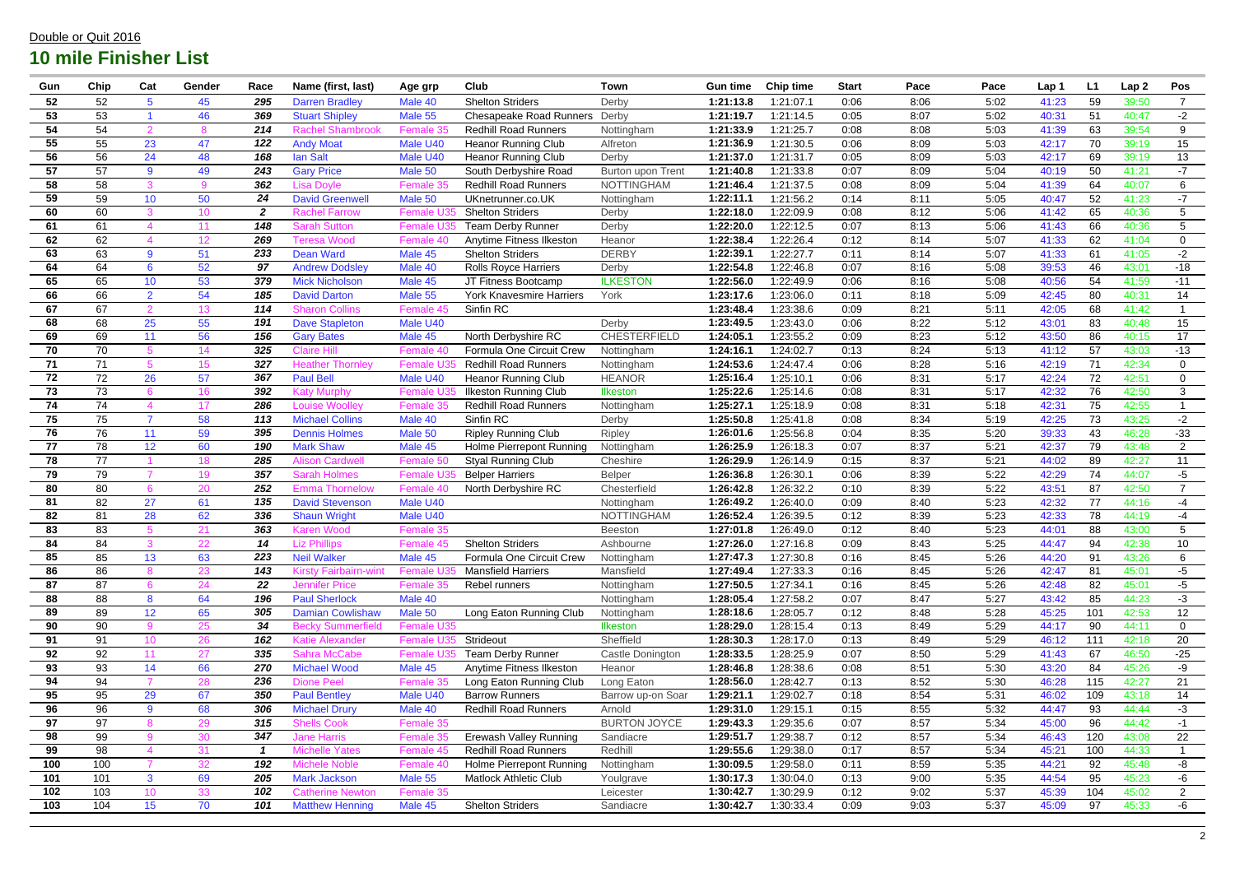| Gun | Chip | Cat             | Gender          | Race             | Name (first, last)           | Age grp          | Club                           | <b>Town</b>         | <b>Gun time</b> | <b>Chip time</b> | <b>Start</b> | Pace | Pace | Lap 1 | L <sub>1</sub> | Lap <sub>2</sub> | Pos            |
|-----|------|-----------------|-----------------|------------------|------------------------------|------------------|--------------------------------|---------------------|-----------------|------------------|--------------|------|------|-------|----------------|------------------|----------------|
| 52  | 52   | 5               | 45              | 295              | <b>Darren Bradley</b>        | Male 40          | <b>Shelton Striders</b>        | Derby               | 1:21:13.8       | 1:21:07.1        | 0:06         | 8:06 | 5:02 | 41:23 | 59             | 39:50            | $\overline{7}$ |
| 53  | 53   |                 | 46              | 369              | <b>Stuart Shipley</b>        | Male 55          | <b>Chesapeake Road Runners</b> | Derby               | 1:21:19.7       | 1:21:14.5        | 0:05         | 8:07 | 5:02 | 40:31 | 51             | 40:47            | $-2$           |
| 54  | 54   | $\Omega$        | 8               | 214              | <b>Rachel Shambrook</b>      | Female 35        | <b>Redhill Road Runners</b>    | Nottingham          | 1:21:33.9       | 1:21:25.7        | 0:08         | 8:08 | 5:03 | 41:39 | 63             | 39:54            | 9              |
| 55  | 55   | 23              | 47              | 122              | <b>Andy Moat</b>             | Male U40         | <b>Heanor Running Club</b>     | Alfreton            | 1:21:36.9       | 1:21:30.5        | 0:06         | 8:09 | 5:03 | 42:17 | 70             | 39:19            | 15             |
| 56  | 56   | 24              | 48              | 168              | <b>Ian Salt</b>              | Male U40         | <b>Heanor Running Club</b>     | Derby               | 1:21:37.0       | 1:21:31.7        | 0:05         | 8:09 | 5:03 | 42:17 | 69             | 39:19            | 13             |
| 57  | 57   | 9               | 49              | 243              | <b>Gary Price</b>            | Male 50          | South Derbyshire Road          | Burton upon Trent   | 1:21:40.8       | 1:21:33.8        | 0:07         | 8:09 | 5:04 | 40:19 | 50             | 41:21            | $-7$           |
| 58  | 58   | 3               | 9               | 362              | <b>Lisa Dovle</b>            | Female 35        | <b>Redhill Road Runners</b>    | <b>NOTTINGHAM</b>   | 1:21:46.4       | 1:21:37.5        | 0:08         | 8:09 | 5:04 | 41:39 | 64             | 40:07            | 6              |
| 59  | 59   | 10              | 50              | 24               | <b>David Greenwell</b>       | Male 50          | UKnetrunner.co.UK              | Nottingham          | 1:22:11.1       | 1:21:56.2        | 0:14         | 8:11 | 5:05 | 40:47 | 52             | 41:23            | $-7$           |
| 60  | 60   | 3               | 10 <sup>°</sup> | $\boldsymbol{2}$ | <b>Rachel Farrow</b>         | Female L         | <b>Shelton Striders</b>        | Derby               | 1:22:18.0       | :22:09.9         | 0:08         | 8:12 | 5:06 | 41:42 | 65             | 40:36            | 5              |
| 61  | 61   |                 | 11              | 148              | <b>Sarah Sutton</b>          | Female U         | <b>Team Derby Runner</b>       | Derby               | 1:22:20.0       | :22:12.5         | 0:07         | 8:13 | 5:06 | 41:43 | 66             | 40:36            | 5              |
| 62  | 62   |                 | 12 <sup>2</sup> | 269              | <b>Teresa Wood</b>           | Female 40        | Anytime Fitness Ilkeston       | Heanor              | 1:22:38.4       | :22:26.4         | 0:12         | 8:14 | 5:07 | 41:33 | 62             | 41:04            | $\overline{0}$ |
| 63  | 63   | 9               | 51              | 233              | <b>Dean Ward</b>             | Male 45          | <b>Shelton Striders</b>        | <b>DERBY</b>        | 1:22:39.1       | 1:22:27.7        | 0:11         | 8:14 | 5:07 | 41:33 | 61             | 41:05            | $-2$           |
| 64  | 64   | 6               | 52              | 97               | <b>Andrew Dodsley</b>        | Male 40          | <b>Rolls Royce Harriers</b>    | Derby               | 1:22:54.8       | :22:46.8         | 0:07         | 8:16 | 5:08 | 39:53 | 46             | 43:01            | $-18$          |
| 65  | 65   | 10 <sup>°</sup> | 53              | 379              | <b>Mick Nicholson</b>        | Male 45          | JT Fitness Bootcamp            | <b>ILKESTON</b>     | 1:22:56.0       | :22:49.9         | 0:06         | 8:16 | 5:08 | 40:56 | 54             | 41:59            | $-11$          |
| 66  | 66   | $\overline{2}$  | 54              | 185              | <b>David Darton</b>          | Male 55          | York Knavesmire Harriers       | York                | 1:23:17.6       | 1:23:06.0        | 0:11         | 8:18 | 5:09 | 42:45 | 80             | 40:31            | 14             |
| 67  | 67   | 2               | 13              | 114              | <b>Sharon Collins</b>        | Female 45        | Sinfin RC                      |                     | 1:23:48.4       | :23:38.6         | 0:09         | 8:21 | 5:11 | 42:05 | 68             | 41:42            | $\mathbf{1}$   |
| 68  | 68   | 25              | 55              | 191              | <b>Dave Stapleton</b>        | Male U40         |                                | Derby               | 1:23:49.5       | 1:23:43.0        | 0:06         | 8:22 | 5:12 | 43:01 | 83             | 40:48            | 15             |
| 69  | 69   | 11              | 56              | 156              | <b>Gary Bates</b>            | Male 45          | North Derbyshire RC            | <b>CHESTERFIELD</b> | 1:24:05.        | :23:55.2         | 0:09         | 8:23 | 5:12 | 43:50 | 86             | 40:15            | 17             |
| 70  | 70   | $5^{\circ}$     | 14              | 325              | <b>Claire Hill</b>           | Female 40        | Formula One Circuit Crew       | Nottingham          | 1:24:16.7       | 1:24:02.7        | 0:13         | 8:24 | 5:13 | 41:12 | 57             | 43:03            | $-13$          |
| 71  | 71   |                 | 15 <sub>1</sub> | 327              | <b>Heather Thornley</b>      | Female U         | <b>Redhill Road Runners</b>    | Nottingham          | 1:24:53.6       | 1:24:47.4        | 0:06         | 8:28 | 5:16 | 42:19 | 71             | 42:34            | $\overline{0}$ |
| 72  | 72   | 26              | 57              | 367              | <b>Paul Bell</b>             | Male U40         | <b>Heanor Running Club</b>     | <b>HEANOR</b>       | 1:25:16.4       | 1:25:10.1        | 0:06         | 8:31 | 5:17 | 42:24 | 72             | 42:51            | $\mathbf 0$    |
| 73  | 73   |                 | 16              | 392              | <b>Katy Murphy</b>           | <b>Female U3</b> | <b>Ilkeston Running Club</b>   | <b>Ilkeston</b>     | 1:25:22.6       | 1:25:14.6        | 0:08         | 8:31 | 5:17 | 42:32 | 76             | 42:50            | 3              |
| 74  | 74   |                 | 17              | 286              | <b>Louise Woollev</b>        | Female           | <b>Redhill Road Runners</b>    | Nottingham          | 1:25:27.1       | 1:25:18.9        | 0:08         | 8:31 | 5:18 | 42:31 | 75             | 42:55            | $\mathbf{1}$   |
| 75  | 75   | $\overline{7}$  | 58              | 113              | <b>Michael Collins</b>       | Male 40          | Sinfin RC                      | Derby               | 1:25:50.8       | 1:25:41.8        | 0:08         | 8:34 | 5:19 | 42:25 | 73             | 43:25            | $-2$           |
| 76  | 76   | 11              | 59              | 395              | <b>Dennis Holmes</b>         | Male 50          | <b>Ripley Running Club</b>     | Ripley              | 1:26:01.6       | 1:25:56.8        | 0:04         | 8:35 | 5:20 | 39:33 | 43             | 46:28            | $-33$          |
| 77  | 78   | 12 <sub>2</sub> | 60              | 190              | <b>Mark Shaw</b>             | Male 45          | Holme Pierrepont Running       | Nottingham          | 1:26:25.9       | 1:26:18.3        | 0:07         | 8:37 | 5:21 | 42:37 | 79             | 43:48            | $\overline{2}$ |
| 78  | 77   |                 | 18              | 285              | <b>Alison Cardwell</b>       | Female 50        | <b>Styal Running Club</b>      | Cheshire            | 1:26:29.9       | :26:14.9         | 0:15         | 8:37 | 5:21 | 44:02 | 89             | 42:27            | 11             |
| 79  | 79   |                 | 19              | 357              | <b>Sarah Holmes</b>          | Female I         | <b>Belper Harriers</b>         | Belper              | 1:26:36.8       | 1:26:30.1        | 0:06         | 8:39 | 5:22 | 42:29 | 74             | 44:07            | $-5$           |
| 80  | 80   | 6               | 20              | 252              | <b>Emma Thornelov</b>        | Female 40        | North Derbyshire RC            | Chesterfield        | 1:26:42.8       | 1:26:32.2        | 0:10         | 8:39 | 5:22 | 43:51 | 87             | 42:50            | $\overline{7}$ |
| 81  | 82   | 27              | 61              | 135              | <b>David Stevenson</b>       | Male U40         |                                | Nottingham          | 1:26:49.2       | 1:26:40.0        | 0:09         | 8:40 | 5:23 | 42:32 | 77             | 44:16            | -4             |
| 82  | 81   | 28              | 62              | 336              | <b>Shaun Wright</b>          | Male U40         |                                | <b>NOTTINGHAM</b>   | 1:26:52.4       | 1:26:39.5        | 0:12         | 8:39 | 5:23 | 42:33 | 78             | 44:19            | -4             |
| 83  | 83   |                 | 21              | 363              | <b>Karen Wood</b>            | Female 35        |                                | Beeston             | 1:27:01.8       | 1:26:49.0        | 0:12         | 8:40 | 5:23 | 44:01 | 88             | 43:00            | 5              |
| 84  | 84   |                 | 22              | 14               | <b>Liz Phillips</b>          | Female 45        | <b>Shelton Striders</b>        | Ashbourne           | 1:27:26.0       | 1:27:16.8        | 0:09         | 8:43 | 5:25 | 44:47 | 94             | 42:38            | 10             |
| 85  | 85   | 13 <sup>°</sup> | 63              | 223              | <b>Neil Walker</b>           | Male 45          | Formula One Circuit Crew       | Nottingham          | 1:27:47.3       | 1:27:30.8        | 0:16         | 8:45 | 5:26 | 44:20 | 91             | 43:26            | 6              |
| 86  | 86   |                 | 23              | 143              | <b>Kirsty Fairbairn-wint</b> | Female U3        | <b>Mansfield Harriers</b>      | Mansfield           | 1:27:49.4       | 1:27:33.3        | 0:16         | 8:45 | 5:26 | 42:47 | 81             | 45:01            | $-5$           |
| 87  | 87   |                 | 24              | 22               | <b>Jennifer Price</b>        | Female 35        | Rebel runners                  | Nottingham          | 1:27:50.5       | 1:27:34.1        | 0:16         | 8:45 | 5:26 | 42:48 | 82             | 45:01            | $-5$           |
| 88  | 88   | 8               | 64              | 196              | <b>Paul Sherlock</b>         | Male 40          |                                | Nottingham          | 1:28:05.4       | 1:27:58.2        | 0:07         | 8:47 | 5:27 | 43:42 | 85             | 44:23            | $-3$           |
| 89  | 89   | 12 <sub>2</sub> | 65              | 305              | <b>Damian Cowlishaw</b>      | Male 50          | Long Eaton Running Club        | Nottingham          | 1:28:18.6       | 1:28:05.7        | 0:12         | 8:48 | 5:28 | 45:25 | 101            | 42:53            | 12             |
| 90  | 90   | 9               | 25              | 34               | <b>Becky Summerfield</b>     | Female U35       |                                | Ilkeston            | 1:28:29.0       | 1:28:15.4        | 0:13         | 8:49 | 5:29 | 44:17 | 90             | 44:11            | $\mathbf 0$    |
| 91  | 91   | 10 <sup>°</sup> | 26              | 162              | <b>Katie Alexander</b>       | <b>Female U3</b> | Strideout                      | Sheffield           | 1:28:30.3       | 1:28:17.0        | 0:13         | 8:49 | 5:29 | 46:12 | 111            | 42:18            | 20             |
| 92  | 92   | 11              | 27              | 335              | <b>Sahra McCabe</b>          | <b>Female U</b>  | <b>Team Derby Runner</b>       | Castle Donington    | 1:28:33.5       | 1:28:25.9        | 0:07         | 8:50 | 5:29 | 41:43 | 67             | 46:50            | $-25$          |
| 93  | 93   | 14              | 66              | 270              | <b>Michael Wood</b>          | Male 45          | Anytime Fitness Ilkeston       | Heanor              | 1:28:46.8       | 1:28:38.6        | 0:08         | 8:51 | 5:30 | 43:20 | 84             | 45:26            | -9             |
| 94  | 94   |                 | 28              | 236              | <b>Dione Peel</b>            | Female 35        | Long Eaton Running Club        | Long Eaton          | 1:28:56.0       | 1:28:42.7        | 0:13         | 8:52 | 5:30 | 46:28 | 115            | 42:27            | 21             |
| 95  | 95   | 29              | 67              | 350              | <b>Paul Bentley</b>          | Male U40         | <b>Barrow Runners</b>          | Barrow up-on Soar   | 1:29:21.1       | 1:29:02.7        | 0:18         | 8:54 | 5:31 | 46:02 | 109            | 43:18            | 14             |
| 96  | 96   | 9               | 68              | 306              | <b>Michael Drury</b>         | Male 40          | <b>Redhill Road Runners</b>    | Arnold              | 1:29:31.0       | 1:29:15.1        | 0:15         | 8:55 | 5:32 | 44:47 | 93             | 44:44            | $-3$           |
| 97  | 97   | 8               | 29              | 315              | <b>Shells Cook</b>           | Female 35        |                                | <b>BURTON JOYCE</b> | 1:29:43.3       | 1:29:35.6        | 0:07         | 8:57 | 5:34 | 45:00 | 96             | 44:42            | $-1$           |
| 98  | 99   | 9               | 30              | 347              | <b>Jane Harris</b>           | Female 35        | <b>Erewash Valley Running</b>  | Sandiacre           | 1:29:51.7       | 1:29:38.7        | 0:12         | 8:57 | 5:34 | 46:43 | 120            | 43:08            | 22             |
| 99  | 98   |                 | 31              | $\mathbf{1}$     | <b>Michelle Yates</b>        | Female 45        | <b>Redhill Road Runners</b>    | Redhill             | 1:29:55.6       | 1:29:38.0        | 0:17         | 8:57 | 5:34 | 45:21 | 100            | 44:33            | $\mathbf{1}$   |
| 100 | 100  |                 | 32              | 192              | <b>Michele Noble</b>         | Female 40        | Holme Pierrepont Running       | Nottingham          | 1:30:09.5       | 1:29:58.0        | 0:11         | 8:59 | 5:35 | 44:21 | 92             | 45:48            | -8             |
| 101 | 101  | $\mathbf{3}$    | 69              | 205              | <b>Mark Jackson</b>          | Male 55          | <b>Matlock Athletic Club</b>   | Youlgrave           | 1:30:17.3       | 1:30:04.0        | 0:13         | 9:00 | 5:35 | 44:54 | 95             | 45:23            | -6             |
| 102 | 103  | 10 <sup>°</sup> | 33              | 102              | <b>Catherine Newton</b>      | Female 35        |                                | Leicester           | 1:30:42.7       | 1:30:29.9        | 0:12         | 9:02 | 5:37 | 45:39 | 104            | 45:02            | $\overline{2}$ |
| 103 | 104  | 15              | 70              | 101              | <b>Matthew Henning</b>       | Male 45          | <b>Shelton Striders</b>        | Sandiacre           | 1:30:42.7       | 1:30:33.4        | 0:09         | 9:03 | 5:37 | 45:09 | 97             | 45:33            | -6             |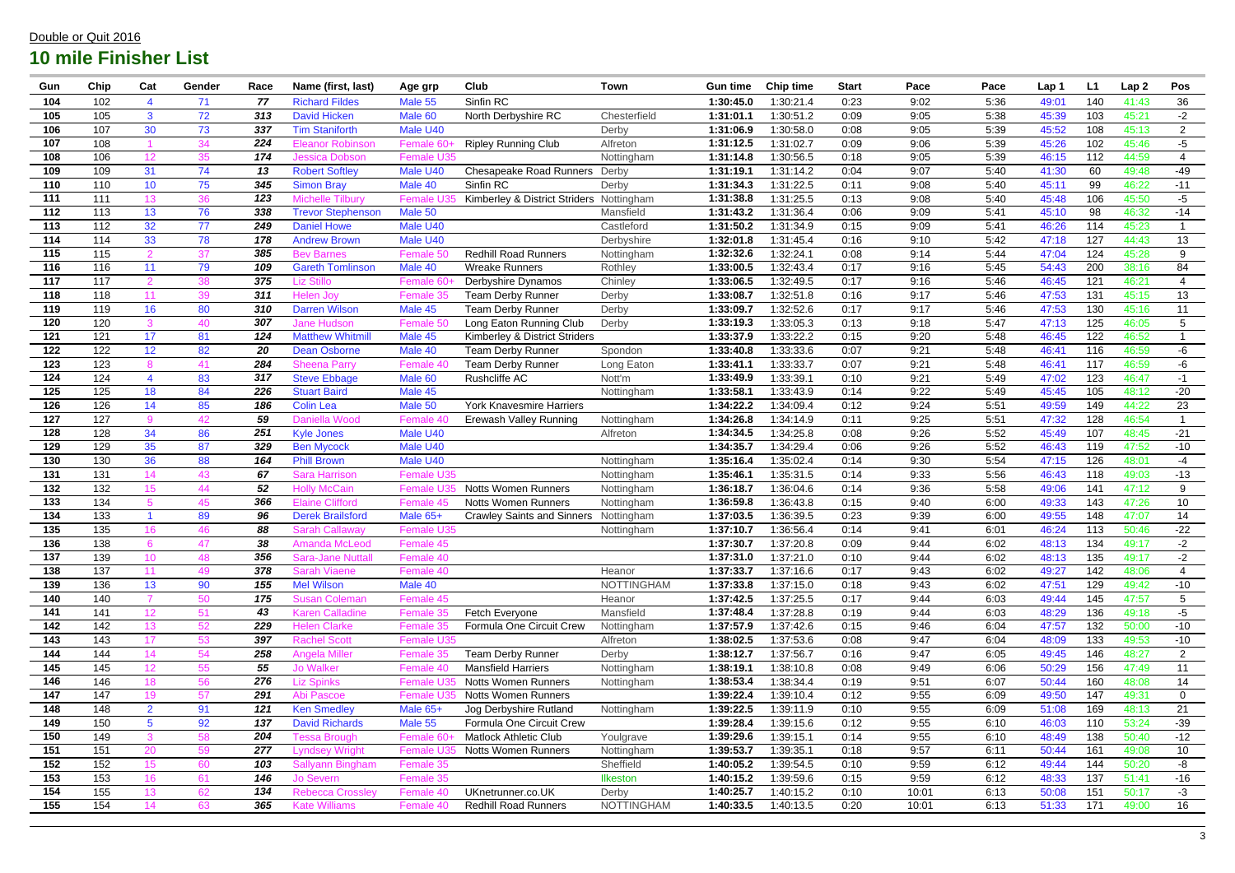| Gun        | Chip       | Cat             | Gender   | Race       | Name (first, last)                         | Age grp                | <b>Club</b>                       | <b>Town</b>              | <b>Gun time</b>       | <b>Chip time</b>       | <b>Start</b> | Pace         | Pace         | Lap 1          | L1         | Lap <sub>2</sub> | Pos             |
|------------|------------|-----------------|----------|------------|--------------------------------------------|------------------------|-----------------------------------|--------------------------|-----------------------|------------------------|--------------|--------------|--------------|----------------|------------|------------------|-----------------|
| 104        | 102        |                 | 71       | 77         | <b>Richard Fildes</b>                      | Male 55                | Sinfin RC                         |                          | 1:30:45.0             | 1:30:21.4              | 0:23         | 9:02         | 5:36         | 49:01          | 140        | 41:43            | 36              |
| 105        | 105        | 3 <sup>1</sup>  | 72       | 313        | <b>David Hicken</b>                        | Male <sub>60</sub>     | North Derbyshire RC               | Chesterfield             | 1:31:01.1             | 1:30:51.2              | 0:09         | 9:05         | 5:38         | 45:39          | 103        | 45:21            | $-2$            |
| 106        | 107        | 30              | 73       | 337        | <b>Tim Staniforth</b>                      | Male U40               |                                   | Derby                    | 1:31:06.9             | 1:30:58.0              | 0:08         | 9:05         | 5:39         | 45:52          | 108        | 45:13            | $\overline{2}$  |
| 107        | 108        |                 | 34       | 224        | <b>Eleanor Robinson</b>                    | Female 60-             | <b>Ripley Running Club</b>        | Alfreton                 | 1:31:12.5             | 1:31:02.7              | 0:09         | 9:06         | 5:39         | 45:26          | 102        | 45:46            | $-5$            |
| 108        | 106        | 12 <sup>°</sup> | 35       | 174        | <b>Jessica Dobson</b>                      | <b>Female U35</b>      |                                   | Nottingham               | 1:31:14.8             | 1:30:56.5              | 0:18         | 9:05         | 5:39         | 46:15          | 112        | 44:59            | 4               |
| 109        | 109        | 31              | 74       | 13         | <b>Robert Softley</b>                      | Male U40               | <b>Chesapeake Road Runners</b>    | Derby                    | 1:31:19.1             | 1:31:14.2              | 0:04         | 9:07         | 5:40         | 41:30          | 60         | 49:48            | $-49$           |
| 110        | 110        | 10 <sup>°</sup> | 75       | 345        | <b>Simon Bray</b>                          | Male 40                | Sinfin RC                         | Derby                    | 1:31:34.3             | 1:31:22.5              | 0:11         | 9:08         | 5:40         | 45:11          | 99         | 46:22            | $-11$           |
| 111        | 111        | 13              | 36       | 123        | <b>Michelle Tilbury</b>                    | <b>Female U3</b>       | Kimberley & District Striders     | Nottingham               | 1:31:38.8             | 1:31:25.5              | 0:13         | 9:08         | 5:40         | 45:48          | 106        | 45:50            | $-5$            |
| 112        | 113        | 13              | 76       | 338        | <b>Trevor Stephenson</b>                   | Male 50                |                                   | Mansfield                | 1:31:43.2             | 1:31:36.4              | 0:06         | 9:09         | 5:41         | 45:10          | 98         | 46:32            | $-14$           |
| 113        | 112        | 32              | 77       | 249        | <b>Daniel Howe</b>                         | Male U40               |                                   | Castleford               | 1:31:50.2             | 1:31:34.9              | 0:15         | 9:09         | 5:41         | 46:26          | 114        | 45:23            |                 |
| 114        | 114        | 33              | 78       | 178        | <b>Andrew Brown</b>                        | Male U40               |                                   | Derbyshire               | 1:32:01.8             | 1:31:45.4              | 0:16         | 9:10         | 5:42         | 47:18          | 127        | 44:43            | 13              |
| 115        | 115        | 2               | 37       | 385        | <b>Bev Barnes</b>                          | Female 50              | <b>Redhill Road Runners</b>       | Nottingham               | 1:32:32.6             | 1:32:24.1              | 0:08         | 9:14         | 5:44         | 47:04          | 124        | 45:28            | 9               |
| 116        | 116        | 11              | 79       | 109        | <b>Gareth Tomlinson</b>                    | Male 40                | <b>Wreake Runners</b>             | Rothley                  | 1:33:00.5             | 1:32:43.4              | 0:17         | 9:16         | 5:45         | 54:43          | 200        | 38:16            | 84              |
| 117        | 117        | $\mathcal{P}$   | 38       | 375        | Liz Stillo                                 | Female 60              | Derbyshire Dynamos                | Chinley                  | 1:33:06.5             | 1:32:49.5              | 0:17         | 9:16         | 5:46         | 46:45          | 121        | 46:21            | 4               |
| 118        | 118        | 11              | 39       | 311        | <b>Helen Joy</b>                           | Female 35              | <b>Team Derby Runner</b>          | Derby                    | 1:33:08.7             | 1:32:51.8              | 0:16         | 9:17         | 5:46         | 47:53          | 131        | 45:15            | 13              |
| 119        | 119        | 16              | 80       | 310        | <b>Darren Wilson</b>                       | Male 45                | <b>Team Derby Runner</b>          | Derby                    | 1:33:09.7             | 1:32:52.6              | 0:17         | 9:17         | 5:46         | 47:53          | 130        | 45:16            | 11              |
| 120        | 120        |                 | 40       | 307        | <b>Jane Hudson</b>                         | Female 50              | Long Eaton Running Club           | Derby                    | 1:33:19.3             | 1:33:05.3              | 0:13         | 9:18         | 5:47         | 47:13          | 125        | 46:05            | 5               |
| 121        | 121        | 17              | 81       | 124        | <b>Matthew Whitmill</b>                    | Male 45                | Kimberley & District Striders     |                          | 1:33:37.9             | 1:33:22.2              | 0:15         | 9:20         | 5:48         | 46:45          | 122        | 46:52            |                 |
| 122        | 122        | 12 <sup>°</sup> | 82       | 20         | <b>Dean Osborne</b>                        | Male 40                | <b>Team Derby Runner</b>          | Spondon                  | 1:33:40.8             | 1:33:33.6              | 0:07         | 9:21         | 5:48         | 46:41          | 116        | 46:59            | -6              |
| 123        | 123        | 8               | 41       | 284        | <b>Sheena Parry</b>                        | Female 40              | Team Derby Runner                 | Long Eaton               | 1:33:41.7             | 1:33:33.7              | 0:07         | 9:21         | 5:48         | 46:41          | 117        | 46:59            | -6              |
| 124        | 124        |                 | 83       | 317        | <b>Steve Ebbage</b>                        | Male 60                | Rushcliffe AC                     | Nott'm                   | 1:33:49.9             | 1:33:39.1              | 0:10         | 9:21         | 5:49         | 47:02          | 123        | 46:47            | $-1$            |
| 125        | 125        | 18              | 84       | 226        | <b>Stuart Baird</b>                        | Male 45                |                                   | Nottingham               | 1:33:58.1             | 1:33:43.9              | 0:14         | 9:22         | 5:49         | 45:45          | 105        | 48:12            | $-20$           |
| 126        | 126        | 14              | 85       | 186        | <b>Colin Lea</b>                           | Male 50                | <b>York Knavesmire Harriers</b>   |                          | 1:34:22.2             | 1:34:09.4              | 0:12         | 9:24         | 5:51         | 49:59          | 149        | 44:22            | 23              |
| 127        | 127        | 9               | 42       | 59         | Daniella Wood                              | Female 40              | <b>Erewash Valley Running</b>     | Nottingham               | 1:34:26.8             | 1:34:14.9              | 0:11         | 9:25         | 5:51         | 47:32          | 128        | 46:54            | $\overline{1}$  |
| 128        | 128        | 34              | 86       | 251        | <b>Kyle Jones</b>                          | Male U40               |                                   | Alfreton                 | 1:34:34.5             | 1:34:25.8              | 0:08         | 9:26         | 5:52         | 45:49          | 107        | 48:45            | $-21$           |
| 129<br>130 | 129        | 35              | 87       | 329<br>164 | <b>Ben Mycock</b>                          | Male U40               |                                   |                          | 1:34:35.7             | 1:34:29.4              | 0:06         | 9:26         | 5:52         | 46:43          | 119        | 47:52            | $-10$           |
| 131        | 130<br>131 | 36<br>14        | 88<br>43 | 67         | <b>Phill Brown</b><br><b>Sara Harrison</b> | Male U40<br>Female U35 |                                   | Nottingham<br>Nottingham | 1:35:16.4<br>1:35:46. | 1:35:02.4<br>1:35:31.5 | 0:14<br>0:14 | 9:30<br>9:33 | 5:54<br>5:56 | 47:15<br>46:43 | 126<br>118 | 48:01<br>49:03   | $-4$<br>$-13$   |
| 132        | 132        | 15              | 44       | 52         | <b>Holly McCain</b>                        | Female U3              | <b>Notts Women Runners</b>        | Nottingham               | 1:36:18.7             | 1:36:04.6              | 0:14         | 9:36         | 5:58         | 49:06          | 141        | 47:12            | 9               |
| 133        | 134        | $5^{\circ}$     | 45       | 366        | <b>Elaine Clifford</b>                     | Female 45              | <b>Notts Women Runners</b>        | Nottingham               | 1:36:59.8             | 1:36:43.8              | 0:15         | 9:40         | 6:00         | 49:33          | 143        | 47:26            | 10              |
| 134        | 133        |                 | 89       | 96         | <b>Derek Brailsford</b>                    | Male 65+               | <b>Crawley Saints and Sinners</b> | Nottingham               | 1:37:03.5             | 1:36:39.5              | 0:23         | 9:39         | 6:00         | 49:55          | 148        | 47:07            | 14              |
| 135        | 135        | 16              | 46       | 88         | <b>Sarah Callaway</b>                      | Female U35             |                                   | Nottingham               | 1:37:10.7             | 1:36:56.4              | 0:14         | 9:41         | 6:01         | 46:24          | 113        | 50:46            | $-22$           |
| 136        | 138        |                 | 47       | 38         | <b>Amanda McLeod</b>                       | Female 45              |                                   |                          | 1:37:30.7             | 1:37:20.8              | 0:09         | 9:44         | 6:02         | 48:13          | 134        | 49:17            | $-2$            |
| 137        | 139        | 10 <sup>°</sup> | 48       | 356        | <b>Sara-Jane Nuttall</b>                   | Female 40              |                                   |                          | 1:37:31.0             | 1:37:21.0              | 0:10         | 9:44         | 6:02         | 48:13          | 135        | 49:17            | $-2$            |
| 138        | 137        | 11              | 49       | 378        | <b>Sarah Viaene</b>                        | Female 40              |                                   | Heanor                   | 1:37:33.7             | 1:37:16.6              | 0:17         | 9:43         | 6:02         | 49:27          | 142        | 48:06            | 4               |
| 139        | 136        | 13              | 90       | 155        | <b>Mel Wilson</b>                          | Male 40                |                                   | <b>NOTTINGHAM</b>        | 1:37:33.8             | 1:37:15.0              | 0:18         | 9:43         | 6:02         | 47:51          | 129        | 49:42            | $-10$           |
| 140        | 140        | $\overline{7}$  | 50       | 175        | <b>Susan Coleman</b>                       | Female 45              |                                   | Heanor                   | 1:37:42.5             | 1:37:25.5              | 0:17         | 9:44         | 6:03         | 49:44          | 145        | 47:57            | $5\phantom{.0}$ |
| 141        | 141        | 12 <sup>°</sup> | 51       | 43         | <b>Karen Calladine</b>                     | Female 35              | Fetch Everyone                    | Mansfield                | 1:37:48.4             | 1:37:28.8              | 0:19         | 9:44         | 6:03         | 48:29          | 136        | 49:18            | $-5$            |
| 142        | 142        | 13              | 52       | 229        | <b>Helen Clarke</b>                        | Female 35              | Formula One Circuit Crew          | Nottingham               | 1:37:57.9             | 1:37:42.6              | 0:15         | 9:46         | 6:04         | 47:57          | 132        | 50:00            | $-10$           |
| 143        | 143        | 17              | 53       | 397        | <b>Rachel Scott</b>                        | Female U35             |                                   | Alfreton                 | 1:38:02.5             | 1:37:53.6              | 0:08         | 9:47         | 6:04         | 48:09          | 133        | 49:53            | $-10$           |
| 144        | 144        | 14              | 54       | 258        | <b>Angela Miller</b>                       | Female 35              | <b>Team Derby Runner</b>          | Derby                    | 1:38:12.7             | 1:37:56.7              | 0:16         | 9:47         | 6:05         | 49:45          | 146        | 48:27            | $2^{\circ}$     |
| 145        | 145        | 12 <sup>°</sup> | 55       | 55         | <b>Jo Walker</b>                           | Female 40              | <b>Mansfield Harriers</b>         | Nottingham               | 1:38:19.1             | 1:38:10.8              | 0:08         | 9:49         | 6:06         | 50:29          | 156        | 47:49            | 11              |
| 146        | 146        | 18              | 56       | 276        | <b>Liz Spinks</b>                          | Female U3              | <b>Notts Women Runners</b>        | Nottingham               | 1:38:53.4             | 1:38:34.4              | 0:19         | 9:51         | 6:07         | 50:44          | 160        | 48:08            | 14              |
| 147        | 147        | 19              | 57       | 291        | Abi Pascoe                                 | <b>Female U35</b>      | <b>Notts Women Runners</b>        |                          | 1:39:22.4             | 1:39:10.4              | 0:12         | 9:55         | 6:09         | 49:50          | 147        | 49:31            | $\mathbf 0$     |
| 148        | 148        | $\overline{2}$  | 91       | 121        | <b>Ken Smedley</b>                         | Male 65+               | Jog Derbyshire Rutland            | Nottingham               | 1:39:22.5             | 1:39:11.9              | 0:10         | 9:55         | 6:09         | 51:08          | 169        | 48:13            | 21              |
| 149        | 150        | 5 <sup>5</sup>  | 92       | 137        | <b>David Richards</b>                      | Male 55                | Formula One Circuit Crew          |                          | 1:39:28.4             | 1:39:15.6              | 0:12         | 9:55         | 6:10         | 46:03          | 110        | 53:24            | $-39$           |
| 150        | 149        | $\mathbf{3}$    | 58       | 204        | <b>Tessa Brough</b>                        | Female 60-             | <b>Matlock Athletic Club</b>      | Youlgrave                | 1:39:29.6             | 1:39:15.1              | 0:14         | 9:55         | 6:10         | 48:49          | 138        | 50:40            | $-12$           |
| 151        | 151        | 20              | 59       | 277        | <b>Lyndsey Wright</b>                      | <b>Female U35</b>      | <b>Notts Women Runners</b>        | Nottingham               | 1:39:53.7             | 1:39:35.1              | 0:18         | 9:57         | 6:11         | 50:44          | 161        | 49:08            | 10 <sup>°</sup> |
| 152        | 152        | 15              | 60       | 103        | Sallyann Bingham                           | Female 35              |                                   | Sheffield                | 1:40:05.2             | 1:39:54.5              | 0:10         | 9:59         | 6:12         | 49:44          | 144        | 50:20            | -8              |
| 153        | 153        | 16              | 61       | 146        | <b>Jo Severn</b>                           | Female 35              |                                   | <b>Ilkeston</b>          | 1:40:15.2             | 1:39:59.6              | 0:15         | 9:59         | 6:12         | 48:33          | 137        | 51:41            | $-16$           |
| 154        | 155        | 13              | 62       | 134        | <b>Rebecca Crossley</b>                    | Female 40              | UKnetrunner.co.UK                 | Derby                    | 1:40:25.7             | 1:40:15.2              | 0:10         | 10:01        | 6:13         | 50:08          | 151        | 50:17            | $-3$            |
| 155        | 154        | 14              | 63       | 365        | <b>Kate Williams</b>                       | Female 40              | <b>Redhill Road Runners</b>       | <b>NOTTINGHAM</b>        | 1:40:33.5             | 1:40:13.5              | 0:20         | 10:01        | 6:13         | 51:33          | 171        | 49:00            | 16              |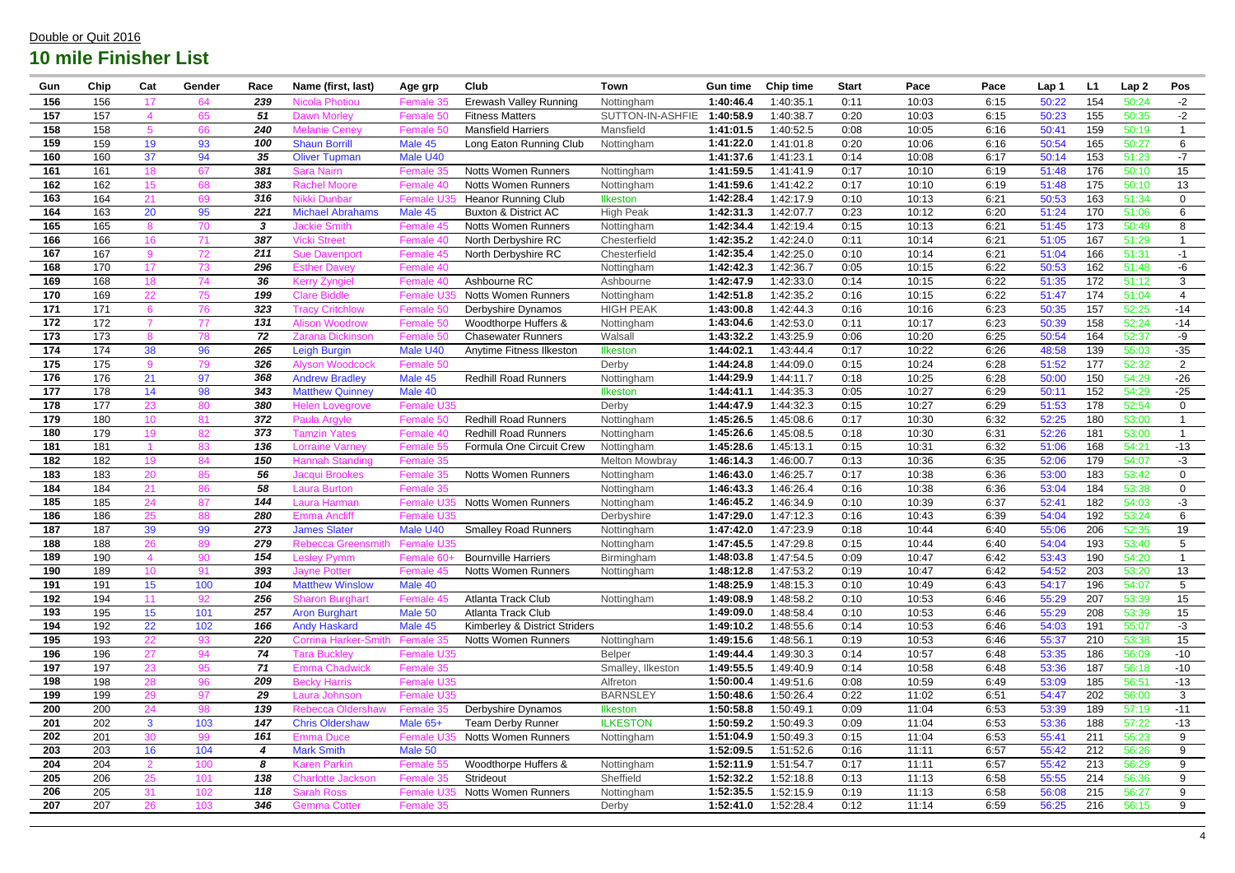| Gun | Chip | Cat              | Gender | Race | Name (first, last)            | Age grp           | Club                            | <b>Town</b>           | <b>Gun time</b> | <b>Chip time</b> | <b>Start</b> | Pace  | Pace | Lap 1 | L1  | Lap <sub>2</sub> | Pos                  |
|-----|------|------------------|--------|------|-------------------------------|-------------------|---------------------------------|-----------------------|-----------------|------------------|--------------|-------|------|-------|-----|------------------|----------------------|
| 156 | 156  | 17               | 64     | 239  | <b>Nicola Photiou</b>         | Female 35         | Erewash Valley Running          | Nottingham            | 1:40:46.4       | 1:40:35.1        | 0:11         | 10:03 | 6:15 | 50:22 | 154 | 50:24            | $-2$                 |
| 157 | 157  |                  | 65     | 51   | <b>Dawn Morley</b>            | Female 50         | <b>Fitness Matters</b>          | SUTTON-IN-ASHFIE      | 1:40:58.9       | 1:40:38.7        | 0:20         | 10:03 | 6:15 | 50:23 | 155 | 50:35            | $-2$                 |
| 158 | 158  |                  | 66     | 240  | <b>Melanie Cenev</b>          | Female 50         | <b>Mansfield Harriers</b>       | Mansfield             | 1:41:01.5       | 1:40:52.5        | 0:08         | 10:05 | 6:16 | 50:41 | 159 | 50:19            |                      |
| 159 | 159  | 19               | 93     | 100  | <b>Shaun Borrill</b>          | Male 45           | Long Eaton Running Club         | Nottingham            | 1:41:22.0       | 1:41:01.8        | 0:20         | 10:06 | 6:16 | 50:54 | 165 | 50:27            | 6                    |
| 160 | 160  | 37               | 94     | 35   | <b>Oliver Tupman</b>          | Male U40          |                                 |                       | 1:41:37.6       | 1:41:23.1        | 0:14         | 10:08 | 6:17 | 50:14 | 153 | 51:23            | $-7$                 |
| 161 | 161  | 18               | 67     | 381  | <b>Sara Nairn</b>             | Female 35         | <b>Notts Women Runners</b>      | Nottingham            | 1:41:59.5       | 1:41:41.9        | 0:17         | 10:10 | 6:19 | 51:48 | 176 | 50:10            | 15                   |
| 162 | 162  | 15 <sub>15</sub> | 68     | 383  | <b>Rachel Moore</b>           | Female 40         | <b>Notts Women Runners</b>      | Nottingham            | 1:41:59.6       | 1:41:42.2        | 0:17         | 10:10 | 6:19 | 51:48 | 175 | 50:10            | 13                   |
| 163 | 164  | 21               | 69     | 316  | Nikki Dunbar                  | Female U3         | <b>Heanor Running Club</b>      | <b>Ilkeston</b>       | 1:42:28.4       | 1:42:17.9        | 0:10         | 10:13 | 6:21 | 50:53 | 163 | 51:34            | $\mathbf 0$          |
| 164 | 163  | 20               | 95     | 221  | <b>Michael Abrahams</b>       | Male 45           | <b>Buxton &amp; District AC</b> | <b>High Peak</b>      | 1:42:31.3       | 1:42:07.7        | 0:23         | 10:12 | 6:20 | 51:24 | 170 | 51:06            | 6                    |
| 165 | 165  | 8                | 70     | 3    | <b>Jackie Smith</b>           | Female 45         | Notts Women Runners             | Nottingham            | 1:42:34.4       | 1:42:19.4        | 0:15         | 10:13 | 6:21 | 51:45 | 173 | 50:49            | 8                    |
| 166 | 166  | 16               | 71     | 387  | <b>Vicki Street</b>           | Female 40         | North Derbyshire RC             | Chesterfield          | 1:42:35.2       | :42:24.0         | 0:11         | 10:14 | 6:21 | 51:05 | 167 | 51:29            |                      |
| 167 | 167  | 9                | 72     | 211  | <b>Sue Davenport</b>          | Female 45         | North Derbyshire RC             | Chesterfield          | 1:42:35.4       | 1:42:25.0        | 0:10         | 10:14 | 6:21 | 51:04 | 166 | 51:31            | $-1$                 |
| 168 | 170  | 17               | 73     | 296  | <b>Esther Davey</b>           | Female 40         |                                 | Nottingham            | 1:42:42.3       | 1:42:36.7        | 0:05         | 10:15 | 6:22 | 50:53 | 162 | 51:48            | -6                   |
| 169 | 168  | 18               | 74     | 36   | <b>Kerry Zyngiel</b>          | Female 40         | Ashbourne RC                    | Ashbourne             | 1:42:47.9       | 1:42:33.0        | 0:14         | 10:15 | 6:22 | 51:35 | 172 | 51:12            | 3                    |
| 170 | 169  | 22               | 75     | 199  | <b>Clare Biddle</b>           | <b>Female U3</b>  | <b>Notts Women Runners</b>      | Nottingham            | 1:42:51.8       | 1:42:35.2        | 0:16         | 10:15 | 6:22 | 51:47 | 174 | 51:04            | 4                    |
| 171 | 171  |                  | 76     | 323  | Tracy Critchlow               | Female 50         | Derbyshire Dynamos              | <b>HIGH PEAK</b>      | 1:43:00.8       | :42:44.3         | 0:16         | 10:16 | 6:23 | 50:35 | 157 | 52:25            | $-14$                |
| 172 | 172  |                  | 77     | 131  | <b>Alison Woodrow</b>         | Female 50         | Woodthorpe Huffers &            | Nottingham            | 1:43:04.6       | 1:42:53.0        | 0:11         | 10:17 | 6:23 | 50:39 | 158 | 52:24            | $-14$                |
| 173 | 173  |                  | 78     | 72   | <b>Zarana Dickinsor</b>       | Female 50         | <b>Chasewater Runners</b>       | Walsall               | 1:43:32.2       | 1:43:25.9        | 0:06         | 10:20 | 6:25 | 50:54 | 164 | 52:37            | -9                   |
| 174 | 174  | 38               | 96     | 265  | Leigh Burgin                  | Male U40          | Anytime Fitness Ilkeston        | <b>Ilkeston</b>       | 1:44:02.        | 1:43:44.4        | 0:17         | 10:22 | 6:26 | 48:58 | 139 | 55:03            | $-35$                |
| 175 | 175  | 9                | 79     | 326  | <b>Alyson Woodcock</b>        | Female 50         |                                 | Derby                 | 1:44:24.8       | 1:44:09.0        | 0:15         | 10:24 | 6:28 | 51:52 | 177 | 52:32            | $\overline{2}$       |
| 176 | 176  | 21               | 97     | 368  | <b>Andrew Bradley</b>         | Male 45           | <b>Redhill Road Runners</b>     | Nottingham            | 1:44:29.9       | 1:44:11.7        | 0:18         | 10:25 | 6:28 | 50:00 | 150 | 54:29            | $-26$                |
| 177 | 178  | 14               | 98     | 343  | <b>Matthew Quinney</b>        | Male 40           |                                 | Ilkeston              | 1:44:41.1       | 1:44:35.3        | 0:05         | 10:27 | 6:29 | 50:11 | 152 | 54:29            | $-25$                |
| 178 | 177  | 23               | 80     | 380  | <b>Helen Lovegrove</b>        | <b>Female U35</b> |                                 | Derby                 | 1:44:47.9       | 1:44:32.3        | 0:15         | 10:27 | 6:29 | 51:53 | 178 | 52:54            | $\mathbf 0$          |
| 179 | 180  | 10 <sup>°</sup>  | 81     | 372  | Paula Argyle                  | Female 50         | <b>Redhill Road Runners</b>     | Nottingham            | 1:45:26.5       | 1:45:08.6        | 0:17         | 10:30 | 6:32 | 52:25 | 180 | 53:00            | $\blacktriangleleft$ |
| 180 | 179  | 19               | 82     | 373  | Tamzin Yates                  | Female 40         | <b>Redhill Road Runners</b>     | Nottingham            | 1:45:26.6       | :45:08.5         | 0:18         | 10:30 | 6:31 | 52:26 | 181 | 53:00            |                      |
| 181 | 181  |                  | 83     | 136  | <b>Lorraine Varney</b>        | Female 55         | Formula One Circuit Crew        | Nottingham            | 1:45:28.6       | 1:45:13.1        | 0:15         | 10:31 | 6:32 | 51:06 | 168 | 54:21            | $-13$                |
| 182 | 182  | 19               | 84     | 150  | <b>Hannah Standing</b>        | Female 35         |                                 | <b>Melton Mowbray</b> | 1:46:14.3       | 1:46:00.7        | 0:13         | 10:36 | 6:35 | 52:06 | 179 | 54:07            | $-3$                 |
| 183 | 183  | 20               | 85     | 56   | Jacqui Brookes                | Female 35         | <b>Notts Women Runners</b>      | Nottingham            | 1:46:43.0       | 1:46:25.7        | 0:17         | 10:38 | 6:36 | 53:00 | 183 | 53:42            | $\overline{0}$       |
| 184 | 184  | 21               | 86     | 58   | <b>Laura Burton</b>           | Female 35         |                                 | Nottingham            | 1:46:43.3       | 1:46:26.4        | 0:16         | 10:38 | 6:36 | 53:04 | 184 | 53:38            | $\overline{0}$       |
| 185 | 185  | 24               | 87     | 144  | Laura Harman                  | <b>Female U3</b>  | <b>Notts Women Runners</b>      | Nottingham            | 1:46:45.2       | 1:46:34.9        | 0:10         | 10:39 | 6:37 | 52:41 | 182 | 54:03            | $-3$                 |
| 186 | 186  | 25               | 88     | 280  | <b>Emma Ancliff</b>           | <b>Female U35</b> |                                 | Derbyshire            | 1:47:29.0       | 1:47:12.3        | 0:16         | 10:43 | 6:39 | 54:04 | 192 | 53:24            | 6                    |
| 187 | 187  | 39               | 99     | 273  | <b>James Slater</b>           | Male U40          | <b>Smalley Road Runners</b>     | Nottingham            | 1:47:42.0       | 1:47:23.9        | 0:18         | 10:44 | 6:40 | 55:06 | 206 | 52:35            | 19                   |
| 188 | 188  | 26               | 89     | 279  | Rebecca Greensmith Female U35 |                   |                                 | Nottingham            | 1:47:45.5       | 1:47:29.8        | 0:15         | 10:44 | 6:40 | 54:04 | 193 | 53:40            | 5                    |
| 189 | 190  |                  | 90     | 154  | <b>Lesley Pymm</b>            | Female 60         | <b>Bournville Harriers</b>      | Birmingham            | 1:48:03.8       | 1:47:54.5        | 0:09         | 10:47 | 6:42 | 53:43 | 190 | 54:20            |                      |
| 190 | 189  | 10 <sup>°</sup>  | 91     | 393  | <b>Jayne Potter</b>           | Female 45         | <b>Notts Women Runners</b>      | Nottingham            | 1:48:12.8       | 1:47:53.2        | 0:19         | 10:47 | 6:42 | 54:52 | 203 | 53:20            | 13                   |
| 191 | 191  | 15               | 100    | 104  | <b>Matthew Winslow</b>        | Male 40           |                                 |                       | 1:48:25.9       | 1:48:15.3        | 0:10         | 10:49 | 6:43 | 54:17 | 196 | 54:07            | 5                    |
| 192 | 194  | 11               | 92     | 256  | <b>Sharon Burghart</b>        | Female 45         | Atlanta Track Club              | Nottingham            | 1:49:08.9       | 1:48:58.2        | 0:10         | 10:53 | 6:46 | 55:29 | 207 | 53:39            | 15                   |
| 193 | 195  | 15               | 101    | 257  | <b>Aron Burghart</b>          | Male 50           | Atlanta Track Club              |                       | 1:49:09.0       | 1:48:58.4        | 0:10         | 10:53 | 6:46 | 55:29 | 208 | 53:39            | 15                   |
| 194 | 192  | 22               | 102    | 166  | <b>Andy Haskard</b>           | Male 45           | Kimberley & District Striders   |                       | 1:49:10.2       | 1:48:55.6        | 0:14         | 10:53 | 6:46 | 54:03 | 191 | 55:07            | $-3$                 |
| 195 | 193  | 22               | 93     | 220  | <b>Corrina Harker-Smith</b>   | Female 35         | <b>Notts Women Runners</b>      | Nottingham            | 1:49:15.6       | 1:48:56.1        | 0:19         | 10:53 | 6:46 | 55:37 | 210 | 53:38            | 15                   |
| 196 | 196  | 27               | 94     | 74   | <b>Tara Buckley</b>           | Female U35        |                                 | <b>Belper</b>         | 1:49:44.4       | 1:49:30.3        | 0:14         | 10:57 | 6:48 | 53:35 | 186 | 56:09            | $-10$                |
| 197 | 197  | 23               | 95     | 71   | <b>Emma Chadwick</b>          | Female 35         |                                 | Smalley, Ilkeston     | 1:49:55.5       | 1:49:40.9        | 0:14         | 10:58 | 6:48 | 53:36 | 187 | 56:18            | $-10$                |
| 198 | 198  | 28               | 96     | 209  | <b>Becky Harris</b>           | Female U35        |                                 | Alfreton              | 1:50:00.4       | 1:49:51.6        | 0:08         | 10:59 | 6:49 | 53:09 | 185 | 56:51            | $-13$                |
| 199 | 199  | 29               | 97     | 29   | Laura Johnson                 | Female U35        |                                 | <b>BARNSLEY</b>       | 1:50:48.6       | 1:50:26.4        | 0:22         | 11:02 | 6:51 | 54:47 | 202 | 56:00            | $\mathbf{3}$         |
| 200 | 200  | 24               | 98     | 139  | <b>Rebecca Oldershaw</b>      | Female 35         | Derbyshire Dynamos              | Ilkeston              | 1:50:58.8       | 1:50:49.1        | 0:09         | 11:04 | 6:53 | 53:39 | 189 | 57:19            | $-11$                |
| 201 | 202  | 3 <sup>1</sup>   | 103    | 147  | <b>Chris Oldershaw</b>        | Male 65+          | <b>Team Derby Runner</b>        | <b>ILKESTON</b>       | 1:50:59.2       | 1:50:49.3        | 0:09         | 11:04 | 6:53 | 53:36 | 188 | 57:22            | $-13$                |
| 202 | 201  | 30               | 99     | 161  | <b>Emma Duce</b>              | <b>Female U35</b> | <b>Notts Women Runners</b>      | Nottingham            | 1:51:04.9       | 1:50:49.3        | 0:15         | 11:04 | 6:53 | 55:41 | 211 | 55:23            | 9                    |
| 203 | 203  | 16               | 104    | 4    | <b>Mark Smith</b>             | Male 50           |                                 |                       | 1:52:09.5       | 1:51:52.6        | 0:16         | 11:11 | 6:57 | 55:42 | 212 | 56:26            | 9                    |
| 204 | 204  | $\overline{2}$   | 100    | 8    | <b>Karen Parkin</b>           | Female 55         | Woodthorpe Huffers &            | Nottingham            | 1:52:11.9       | 1:51:54.7        | 0:17         | 11:11 | 6:57 | 55:42 | 213 | 56:29            | 9                    |
| 205 | 206  | 25               | 101    | 138  | <b>Charlotte Jackson</b>      | Female 35         | Strideout                       | Sheffield             | 1:52:32.2       | 1:52:18.8        | 0:13         | 11:13 | 6:58 | 55:55 | 214 | 56:36            | 9                    |
| 206 | 205  | 31               | 102    | 118  | <b>Sarah Ross</b>             | <b>Female U3</b>  | <b>Notts Women Runners</b>      | Nottingham            | 1:52:35.5       | 1:52:15.9        | 0:19         | 11:13 | 6:58 | 56:08 | 215 | 56:27            | 9                    |
| 207 | 207  | 26               | 103    | 346  | <b>Gemma Cotter</b>           | Female 35         |                                 | Derby                 | 1:52:41.0       | 1:52:28.4        | 0:12         | 11:14 | 6:59 | 56:25 | 216 | 56:15            | 9                    |